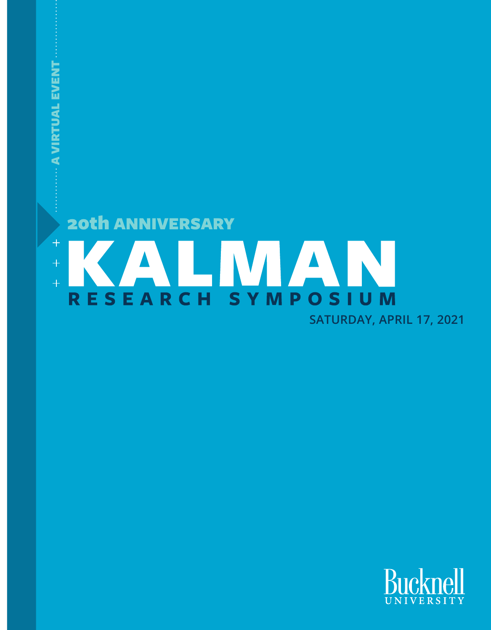

A VIRTUAL EVENT

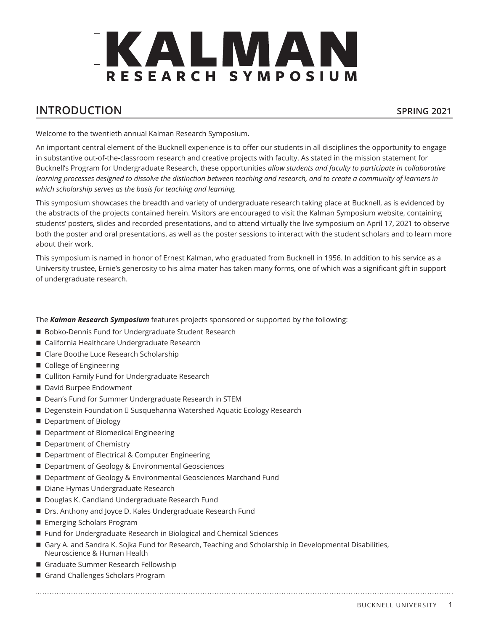

# **INTRODUCTION SPRING 2021**

Welcome to the twentieth annual Kalman Research Symposium.

An important central element of the Bucknell experience is to offer our students in all disciplines the opportunity to engage in substantive out-of-the-classroom research and creative projects with faculty. As stated in the mission statement for Bucknell's Program for Undergraduate Research, these opportunities *allow students and faculty to participate in collaborative learning processes designed to dissolve the distinction between teaching and research, and to create a community of learners in which scholarship serves as the basis for teaching and learning.*

This symposium showcases the breadth and variety of undergraduate research taking place at Bucknell, as is evidenced by the abstracts of the projects contained herein. Visitors are encouraged to visit the Kalman Symposium website, containing students' posters, slides and recorded presentations, and to attend virtually the live symposium on April 17, 2021 to observe both the poster and oral presentations, as well as the poster sessions to interact with the student scholars and to learn more about their work.

This symposium is named in honor of Ernest Kalman, who graduated from Bucknell in 1956. In addition to his service as a University trustee, Ernie's generosity to his alma mater has taken many forms, one of which was a significant gift in support of undergraduate research.

The *Kalman Research Symposium* features projects sponsored or supported by the following:

- Bobko-Dennis Fund for Undergraduate Student Research
- California Healthcare Undergraduate Research
- Clare Boothe Luce Research Scholarship
- College of Engineering
- Culliton Family Fund for Undergraduate Research
- David Burpee Endowment
- Dean's Fund for Summer Undergraduate Research in STEM
- Degenstein Foundation □ Susquehanna Watershed Aquatic Ecology Research
- Department of Biology
- Department of Biomedical Engineering
- Department of Chemistry
- Department of Electrical & Computer Engineering
- Department of Geology & Environmental Geosciences
- Department of Geology & Environmental Geosciences Marchand Fund
- Diane Hymas Undergraduate Research
- Douglas K. Candland Undergraduate Research Fund
- Drs. Anthony and Joyce D. Kales Undergraduate Research Fund
- **Exerging Scholars Program**
- Fund for Undergraduate Research in Biological and Chemical Sciences
- Gary A. and Sandra K. Sojka Fund for Research, Teaching and Scholarship in Developmental Disabilities, Neuroscience & Human Health
- Graduate Summer Research Fellowship
- Grand Challenges Scholars Program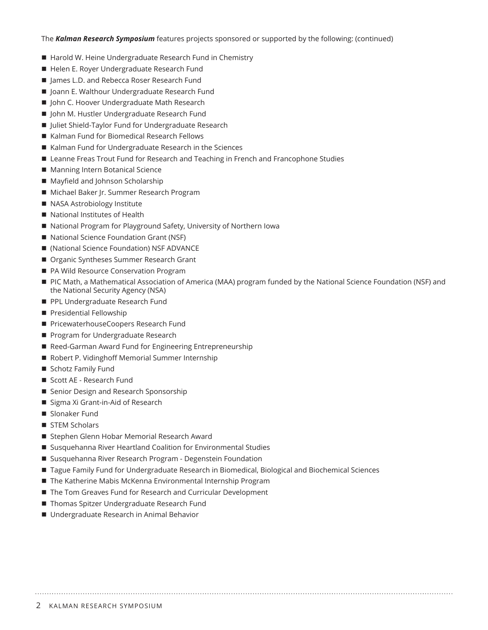#### The *Kalman Research Symposium* features projects sponsored or supported by the following: (continued)

- Harold W. Heine Undergraduate Research Fund in Chemistry
- Helen E. Royer Undergraduate Research Fund
- James L.D. and Rebecca Roser Research Fund
- Joann E. Walthour Undergraduate Research Fund
- John C. Hoover Undergraduate Math Research
- John M. Hustler Undergraduate Research Fund
- Juliet Shield-Taylor Fund for Undergraduate Research
- Kalman Fund for Biomedical Research Fellows
- Kalman Fund for Undergraduate Research in the Sciences
- Leanne Freas Trout Fund for Research and Teaching in French and Francophone Studies
- Manning Intern Botanical Science
- Mayfield and Johnson Scholarship
- Michael Baker Jr. Summer Research Program
- NASA Astrobiology Institute
- National Institutes of Health
- National Program for Playground Safety, University of Northern Iowa
- National Science Foundation Grant (NSF)
- (National Science Foundation) NSF ADVANCE
- Organic Syntheses Summer Research Grant
- PA Wild Resource Conservation Program
- n PIC Math, a Mathematical Association of America (MAA) program funded by the National Science Foundation (NSF) and the National Security Agency (NSA)
- PPL Undergraduate Research Fund
- $\blacksquare$  Presidential Fellowship
- PricewaterhouseCoopers Research Fund
- Program for Undergraduate Research
- Reed-Garman Award Fund for Engineering Entrepreneurship
- Robert P. Vidinghoff Memorial Summer Internship
- Schotz Family Fund
- Scott AE Research Fund
- Senior Design and Research Sponsorship
- Sigma Xi Grant-in-Aid of Research
- Slonaker Fund
- STEM Scholars
- Stephen Glenn Hobar Memorial Research Award
- Susquehanna River Heartland Coalition for Environmental Studies
- Susquehanna River Research Program Degenstein Foundation
- Tague Family Fund for Undergraduate Research in Biomedical, Biological and Biochemical Sciences
- The Katherine Mabis McKenna Environmental Internship Program
- The Tom Greaves Fund for Research and Curricular Development
- Thomas Spitzer Undergraduate Research Fund
- Undergraduate Research in Animal Behavior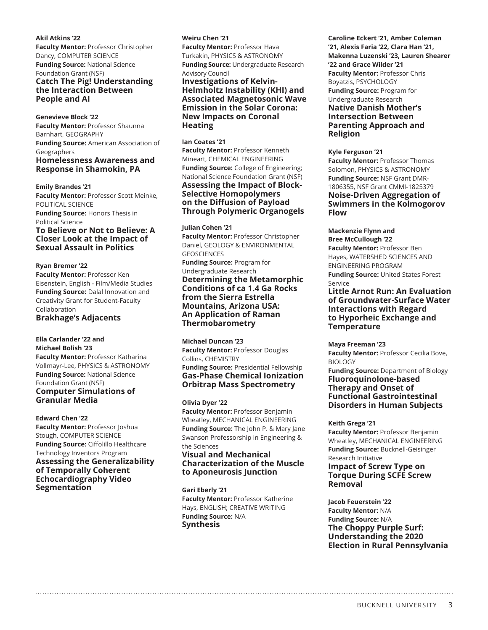#### **Akil Atkins '22**

**Faculty Mentor:** Professor Christopher Dancy, COMPUTER SCIENCE **Funding Source:** National Science Foundation Grant (NSF) **Catch The Pig! Understanding the Interaction Between People and AI**

#### **Genevieve Block '22**

**Faculty Mentor:** Professor Shaunna Barnhart, GEOGRAPHY **Funding Source:** American Association of Geographers **Homelessness Awareness and Response in Shamokin, PA**

#### **Emily Brandes '21**

**Faculty Mentor:** Professor Scott Meinke, POLITICAL SCIENCE **Funding Source:** Honors Thesis in Political Science **To Believe or Not to Believe: A** 

# **Closer Look at the Impact of Sexual Assault in Politics**

#### **Ryan Bremer '22**

**Faculty Mentor:** Professor Ken Eisenstein, English - Film/Media Studies **Funding Source:** Dalal Innovation and Creativity Grant for Student-Faculty Collaboration **Brakhage's Adjacents**

# **Ella Carlander '22 and**

**Michael Bolish '23 Faculty Mentor:** Professor Katharina Vollmayr-Lee, PHYSICS & ASTRONOMY **Funding Source:** National Science Foundation Grant (NSF) **Computer Simulations of Granular Media**

#### **Edward Chen '22**

**Faculty Mentor: Professor Joshua** Stough, COMPUTER SCIENCE **Funding Source:** Ciffolillo Healthcare Technology Inventors Program **Assessing the Generalizability of Temporally Coherent Echocardiography Video Segmentation**

#### **Weiru Chen '21**

**Faculty Mentor:** Professor Hava Turkakin, PHYSICS & ASTRONOMY **Funding Source:** Undergraduate Research

#### Advisory Council

**Investigations of Kelvin-Helmholtz Instability (KHI) and Associated Magnetosonic Wave Emission in the Solar Corona: New Impacts on Coronal Heating**

#### **Ian Coates '21**

**Faculty Mentor:** Professor Kenneth Mineart, CHEMICAL ENGINEERING **Funding Source:** College of Engineering; National Science Foundation Grant (NSF) **Assessing the Impact of Block-Selective Homopolymers on the Diffusion of Payload Through Polymeric Organogels**

#### **Julian Cohen '21**

**Faculty Mentor:** Professor Christopher Daniel, GEOLOGY & ENVIRONMENTAL GEOSCIENCES

#### **Funding Source:** Program for Undergraduate Research **Determining the Metamorphic Conditions of ca 1.4 Ga Rocks from the Sierra Estrella Mountains, Arizona USA: An Application of Raman Thermobarometry**

**Michael Duncan '23 Faculty Mentor:** Professor Douglas Collins, CHEMISTRY **Funding Source:** Presidential Fellowship **Gas-Phase Chemical Ionization Orbitrap Mass Spectrometry**

#### **Olivia Dyer '22**

**Faculty Mentor:** Professor Benjamin Wheatley, MECHANICAL ENGINEERING **Funding Source:** The John P. & Mary Jane Swanson Professorship in Engineering & the Sciences

#### **Visual and Mechanical Characterization of the Muscle to Aponeurosis Junction**

**Gari Eberly '21 Faculty Mentor:** Professor Katherine Hays, ENGLISH; CREATIVE WRITING **Funding Source:** N/A **Synthesis**

#### **Caroline Eckert '21, Amber Coleman '21, Alexis Faria '22, Clara Han '21, Makenna Luzenski '23, Lauren Shearer '22 and Grace Wilder '21 Faculty Mentor:** Professor Chris Boyatzis, PSYCHOLOGY **Funding Source:** Program for Undergraduate Research **Native Danish Mother's Intersection Between Parenting Approach and Religion**

#### **Kyle Ferguson '21**

**Faculty Mentor:** Professor Thomas Solomon, PHYSICS & ASTRONOMY **Funding Source:** NSF Grant DMR-1806355, NSF Grant CMMI-1825379 **Noise-Driven Aggregation of Swimmers in the Kolmogorov Flow**

**Mackenzie Flynn and Bree McCullough '22 Faculty Mentor:** Professor Ben Hayes, WATERSHED SCIENCES AND ENGINEERING PROGRAM **Funding Source:** United States Forest Service **Little Arnot Run: An Evaluation of Groundwater-Surface Water Interactions with Regard** 

# **to Hyporheic Exchange and Temperature**

**Maya Freeman '23 Faculty Mentor:** Professor Cecilia Bove,

# BIOLOGY

**Funding Source:** Department of Biology **Fluoroquinolone-based Therapy and Onset of Functional Gastrointestinal Disorders in Human Subjects**

#### **Keith Grega '21**

**Faculty Mentor:** Professor Benjamin Wheatley, MECHANICAL ENGINEERING **Funding Source:** Bucknell-Geisinger Research Initiative

#### **Impact of Screw Type on Torque During SCFE Screw Removal**

**Jacob Feuerstein '22 Faculty Mentor:** N/A **Funding Source:** N/A **The Choppy Purple Surf: Understanding the 2020 Election in Rural Pennsylvania**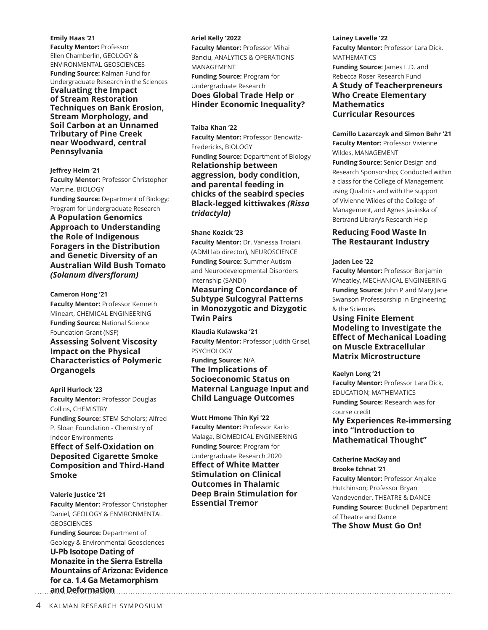#### **Emily Haas '21**

**Faculty Mentor:** Professor Ellen Chamberlin, GEOLOGY & ENVIRONMENTAL GEOSCIENCES **Funding Source:** Kalman Fund for Undergraduate Research in the Sciences

**Evaluating the Impact of Stream Restoration Techniques on Bank Erosion, Stream Morphology, and Soil Carbon at an Unnamed Tributary of Pine Creek near Woodward, central Pennsylvania**

**Jeffrey Heim '21 Faculty Mentor:** Professor Christopher Martine, BIOLOGY **Funding Source:** Department of Biology; Program for Undergraduate Research **A Population Genomics Approach to Understanding the Role of Indigenous Foragers in the Distribution and Genetic Diversity of an Australian Wild Bush Tomato**  *(Solanum diversflorum)*

**Cameron Hong '21 Faculty Mentor:** Professor Kenneth Mineart, CHEMICAL ENGINEERING **Funding Source:** National Science Foundation Grant (NSF) **Assessing Solvent Viscosity Impact on the Physical Characteristics of Polymeric Organogels**

**April Hurlock '23 Faculty Mentor:** Professor Douglas Collins, CHEMISTRY **Funding Source:** STEM Scholars; Alfred P. Sloan Foundation - Chemistry of Indoor Environments **Effect of Self-Oxidation on Deposited Cigarette Smoke** 

# **Composition and Third-Hand Smoke**

**Valerie Justice '21 Faculty Mentor:** Professor Christopher Daniel, GEOLOGY & ENVIRONMENTAL GEOSCIENCES **Funding Source:** Department of Geology & Environmental Geosciences **U-Pb Isotope Dating of Monazite in the Sierra Estrella Mountains of Arizona: Evidence for ca. 1.4 Ga Metamorphism and Deformation**

#### **Ariel Kelly '2022**

**Faculty Mentor:** Professor Mihai Banciu, ANALYTICS & OPERATIONS MANAGEMENT

**Funding Source:** Program for Undergraduate Research **Does Global Trade Help or Hinder Economic Inequality?**

**Taiba Khan '22**

**Faculty Mentor:** Professor Benowitz-Fredericks, BIOLOGY **Funding Source:** Department of Biology **Relationship between aggression, body condition, and parental feeding in chicks of the seabird species Black-legged kittiwakes** *(Rissa tridactyla)*

#### **Shane Kozick '23**

**Faculty Mentor:** Dr. Vanessa Troiani, (ADMI lab director), NEUROSCIENCE **Funding Source:** Summer Autism and Neurodevelopmental Disorders Internship (SANDI)

#### **Measuring Concordance of Subtype Sulcogyral Patterns in Monozygotic and Dizygotic Twin Pairs**

**Klaudia Kulawska '21 Faculty Mentor:** Professor Judith Grisel, PSYCHOLOGY **Funding Source:** N/A **The Implications of Socioeconomic Status on Maternal Language Input and Child Language Outcomes**

**Wutt Hmone Thin Kyi '22 Faculty Mentor:** Professor Karlo Malaga, BIOMEDICAL ENGINEERING **Funding Source:** Program for Undergraduate Research 2020 **Effect of White Matter Stimulation on Clinical Outcomes in Thalamic Deep Brain Stimulation for Essential Tremor**

#### **Lainey Lavelle '22 Faculty Mentor:** Professor Lara Dick, MATHEMATICS **Funding Source:** James L.D. and Rebecca Roser Research Fund **A Study of Teacherpreneurs Who Create Elementary Mathematics Curricular Resources**

**Camillo Lazarczyk and Simon Behr '21 Faculty Mentor:** Professor Vivienne Wildes, MANAGEMENT

**Funding Source:** Senior Design and Research Sponsorship; Conducted within a class for the College of Management using Qualtrics and with the support of Vivienne Wildes of the College of Management, and Agnes Jasinska of Bertrand Library's Research Help

#### **Reducing Food Waste In The Restaurant Industry**

#### **Jaden Lee '22**

**Faculty Mentor:** Professor Benjamin Wheatley, MECHANICAL ENGINEERING **Funding Source:** John P and Mary Jane Swanson Professorship in Engineering & the Sciences

**Using Finite Element Modeling to Investigate the Effect of Mechanical Loading on Muscle Extracellular Matrix Microstructure**

#### **Kaelyn Long '21**

**Faculty Mentor:** Professor Lara Dick, EDUCATION; MATHEMATICS **Funding Source:** Research was for course credit **My Experiences Re-immersing into "Introduction to Mathematical Thought"**

**Catherine MacKay and Brooke Echnat '21 Faculty Mentor:** Professor Anjalee Hutchinson; Professor Bryan Vandevender, THEATRE & DANCE **Funding Source:** Bucknell Department of Theatre and Dance **The Show Must Go On!**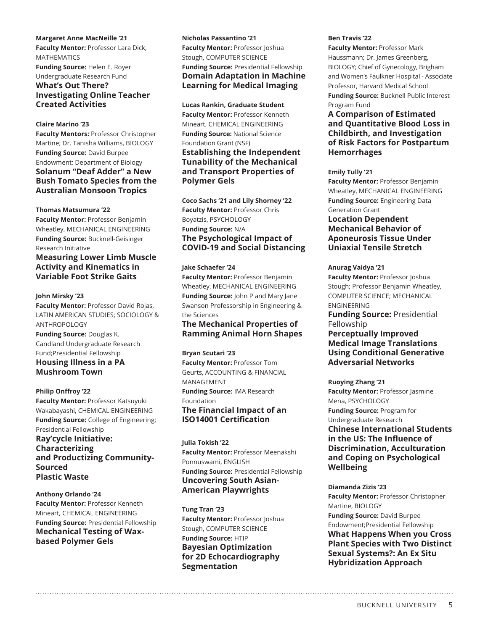#### **Margaret Anne MacNeille '21**

**Faculty Mentor:** Professor Lara Dick, MATHEMATICS **Funding Source:** Helen E. Royer Undergraduate Research Fund **What's Out There? Investigating Online Teacher Created Activities**

#### **Claire Marino '23**

**Faculty Mentors:** Professor Christopher Martine; Dr. Tanisha Williams, BIOLOGY **Funding Source:** David Burpee Endowment; Department of Biology **Solanum "Deaf Adder" a New Bush Tomato Species from the Australian Monsoon Tropics**

#### **Thomas Matsumura '22**

**Faculty Mentor:** Professor Benjamin Wheatley, MECHANICAL ENGINEERING **Funding Source:** Bucknell-Geisinger Research Initiative

#### **Measuring Lower Limb Muscle Activity and Kinematics in Variable Foot Strike Gaits**

#### **John Mirsky '23**

**Faculty Mentor:** Professor David Rojas, LATIN AMERICAN STUDIES; SOCIOLOGY & ANTHROPOLOGY

**Funding Source:** Douglas K. Candland Undergraduate Research Fund;Presidential Fellowship **Housing Illness in a PA Mushroom Town**

#### **Philip Onffroy '22**

**Faculty Mentor:** Professor Katsuyuki Wakabayashi, CHEMICAL ENGINEERING **Funding Source:** College of Engineering; Presidential Fellowship **Ray'cycle Initiative: Characterizing and Productizing Community-Sourced Plastic Waste**

**Anthony Orlando '24 Faculty Mentor:** Professor Kenneth Mineart, CHEMICAL ENGINEERING **Funding Source:** Presidential Fellowship **Mechanical Testing of Waxbased Polymer Gels**

#### **Nicholas Passantino '21**

**Faculty Mentor: Professor Joshua** Stough, COMPUTER SCIENCE **Funding Source:** Presidential Fellowship **Domain Adaptation in Machine Learning for Medical Imaging**

#### **Lucas Rankin, Graduate Student**

**Faculty Mentor:** Professor Kenneth Mineart, CHEMICAL ENGINEERING **Funding Source:** National Science Foundation Grant (NSF) **Establishing the Independent Tunability of the Mechanical and Transport Properties of Polymer Gels**

**Coco Sachs '21 and Lily Shorney '22 Faculty Mentor: Professor Chris** Boyatzis, PSYCHOLOGY **Funding Source:** N/A **The Psychological Impact of COVID-19 and Social Distancing**

#### **Jake Schaefer '24**

**Faculty Mentor:** Professor Benjamin Wheatley, MECHANICAL ENGINEERING **Funding Source:** John P and Mary Jane Swanson Professorship in Engineering & the Sciences

#### **The Mechanical Properties of Ramming Animal Horn Shapes**

#### **Bryan Scutari '23**

**Faculty Mentor:** Professor Tom Geurts, ACCOUNTING & FINANCIAL MANAGEMENT

**Funding Source:** IMA Research Foundation **The Financial Impact of an** 

# **ISO14001 Certification**

**Julia Tokish '22 Faculty Mentor:** Professor Meenakshi Ponnuswami, ENGLISH **Funding Source:** Presidential Fellowship **Uncovering South Asian-American Playwrights**

**Tung Tran '23 Faculty Mentor:** Professor Joshua Stough, COMPUTER SCIENCE **Funding Source:** HTIP **Bayesian Optimization for 2D Echocardiography Segmentation**

#### **Ben Travis '22**

**Faculty Mentor:** Professor Mark Haussmann; Dr. James Greenberg, BIOLOGY; Chief of Gynecology, Brigham and Women's Faulkner Hospital - Associate Professor, Harvard Medical School **Funding Source:** Bucknell Public Interest Program Fund

#### **A Comparison of Estimated and Quantitative Blood Loss in Childbirth, and Investigation of Risk Factors for Postpartum Hemorrhages**

#### **Emily Tully '21**

**Faculty Mentor:** Professor Benjamin Wheatley, MECHANICAL ENGINEERING **Funding Source:** Engineering Data Generation Grant

#### **Location Dependent Mechanical Behavior of Aponeurosis Tissue Under Uniaxial Tensile Stretch**

#### **Anurag Vaidya '21**

**Faculty Mentor:** Professor Joshua Stough; Professor Benjamin Wheatley, COMPUTER SCIENCE; MECHANICAL ENGINEERING

**Funding Source:** Presidential Fellowship

#### **Perceptually Improved Medical Image Translations Using Conditional Generative Adversarial Networks**

#### **Ruoying Zhang '21**

**Faculty Mentor: Professor Jasmine** Mena, PSYCHOLOGY **Funding Source:** Program for Undergraduate Research **Chinese International Students in the US: The Influence of Discrimination, Acculturation** 

**and Coping on Psychological Wellbeing**

#### **Diamanda Zizis '23 Faculty Mentor:** Professor Christopher Martine, BIOLOGY **Funding Source:** David Burpee Endowment;Presidential Fellowship

**What Happens When you Cross Plant Species with Two Distinct Sexual Systems?: An Ex Situ Hybridization Approach**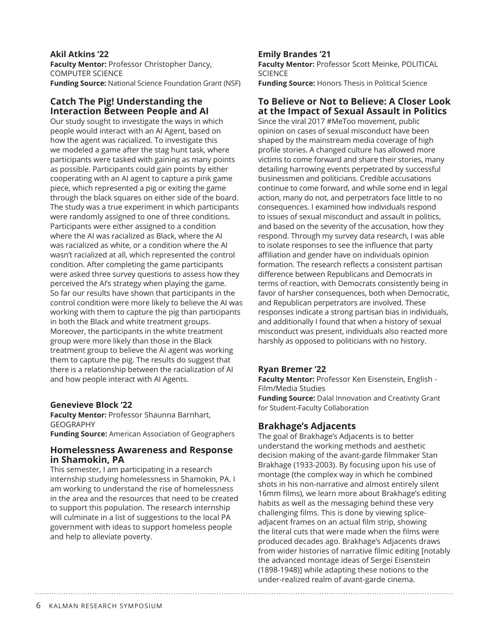#### **Akil Atkins '22**

**Faculty Mentor:** Professor Christopher Dancy, COMPUTER SCIENCE **Funding Source:** National Science Foundation Grant (NSF)

### **Catch The Pig! Understanding the Interaction Between People and AI**

Our study sought to investigate the ways in which people would interact with an AI Agent, based on how the agent was racialized. To investigate this we modeled a game after the stag hunt task, where participants were tasked with gaining as many points as possible. Participants could gain points by either cooperating with an AI agent to capture a pink game piece, which represented a pig or exiting the game through the black squares on either side of the board. The study was a true experiment in which participants were randomly assigned to one of three conditions. Participants were either assigned to a condition where the AI was racialized as Black, where the AI was racialized as white, or a condition where the AI wasn't racialized at all, which represented the control condition. After completing the game participants were asked three survey questions to assess how they perceived the AI's strategy when playing the game. So far our results have shown that participants in the control condition were more likely to believe the AI was working with them to capture the pig than participants in both the Black and white treatment groups. Moreover, the participants in the white treatment group were more likely than those in the Black treatment group to believe the AI agent was working them to capture the pig. The results do suggest that there is a relationship between the racialization of AI and how people interact with AI Agents.

# **Genevieve Block '22**

**Faculty Mentor:** Professor Shaunna Barnhart, GEOGRAPHY **Funding Source:** American Association of Geographers

# **Homelessness Awareness and Response in Shamokin, PA**

This semester, I am participating in a research internship studying homelessness in Shamokin, PA. I am working to understand the rise of homelessness in the area and the resources that need to be created to support this population. The research internship will culminate in a list of suggestions to the local PA government with ideas to support homeless people and help to alleviate poverty.

# **Emily Brandes '21**

**Faculty Mentor:** Professor Scott Meinke, POLITICAL **SCIENCE** 

# **Funding Source:** Honors Thesis in Political Science

#### **To Believe or Not to Believe: A Closer Look at the Impact of Sexual Assault in Politics**

Since the viral 2017 #MeToo movement, public opinion on cases of sexual misconduct have been shaped by the mainstream media coverage of high profile stories. A changed culture has allowed more victims to come forward and share their stories, many detailing harrowing events perpetrated by successful businessmen and politicians. Credible accusations continue to come forward, and while some end in legal action, many do not, and perpetrators face little to no consequences. I examined how individuals respond to issues of sexual misconduct and assault in politics, and based on the severity of the accusation, how they respond. Through my survey data research, I was able to isolate responses to see the influence that party affiliation and gender have on individuals opinion formation. The research reflects a consistent partisan difference between Republicans and Democrats in terms of reaction, with Democrats consistently being in favor of harsher consequences, both when Democratic, and Republican perpetrators are involved. These responses indicate a strong partisan bias in individuals, and additionally I found that when a history of sexual misconduct was present, individuals also reacted more harshly as opposed to politicians with no history.

# **Ryan Bremer '22**

**Faculty Mentor:** Professor Ken Eisenstein, English - Film/Media Studies

**Funding Source:** Dalal Innovation and Creativity Grant for Student-Faculty Collaboration

# **Brakhage's Adjacents**

The goal of Brakhage's Adjacents is to better understand the working methods and aesthetic decision making of the avant-garde filmmaker Stan Brakhage (1933-2003). By focusing upon his use of montage (the complex way in which he combined shots in his non-narrative and almost entirely silent 16mm films), we learn more about Brakhage's editing habits as well as the messaging behind these very challenging films. This is done by viewing spliceadjacent frames on an actual film strip, showing the literal cuts that were made when the films were produced decades ago. Brakhage's Adjacents draws from wider histories of narrative filmic editing [notably the advanced montage ideas of Sergei Eisenstein (1898-1948)] while adapting these notions to the under-realized realm of avant-garde cinema.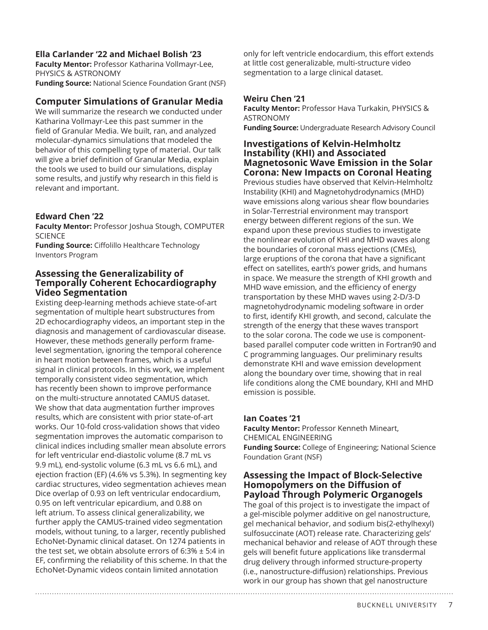# **Ella Carlander '22 and Michael Bolish '23**

**Faculty Mentor:** Professor Katharina Vollmayr-Lee, PHYSICS & ASTRONOMY **Funding Source:** National Science Foundation Grant (NSF)

# **Computer Simulations of Granular Media**

We will summarize the research we conducted under Katharina Vollmayr-Lee this past summer in the field of Granular Media. We built, ran, and analyzed molecular-dynamics simulations that modeled the behavior of this compelling type of material. Our talk will give a brief definition of Granular Media, explain the tools we used to build our simulations, display some results, and justify why research in this field is relevant and important.

# **Edward Chen '22**

**Faculty Mentor:** Professor Joshua Stough, COMPUTER SCIENCE

**Funding Source:** Ciffolillo Healthcare Technology Inventors Program

# **Assessing the Generalizability of Temporally Coherent Echocardiography Video Segmentation**

Existing deep-learning methods achieve state-of-art segmentation of multiple heart substructures from 2D echocardiography videos, an important step in the diagnosis and management of cardiovascular disease. However, these methods generally perform framelevel segmentation, ignoring the temporal coherence in heart motion between frames, which is a useful signal in clinical protocols. In this work, we implement temporally consistent video segmentation, which has recently been shown to improve performance on the multi-structure annotated CAMUS dataset. We show that data augmentation further improves results, which are consistent with prior state-of-art works. Our 10-fold cross-validation shows that video segmentation improves the automatic comparison to clinical indices including smaller mean absolute errors for left ventricular end-diastolic volume (8.7 mL vs 9.9 mL), end-systolic volume (6.3 mL vs 6.6 mL), and ejection fraction (EF) (4.6% vs 5.3%). In segmenting key cardiac structures, video segmentation achieves mean Dice overlap of 0.93 on left ventricular endocardium, 0.95 on left ventricular epicardium, and 0.88 on left atrium. To assess clinical generalizability, we further apply the CAMUS-trained video segmentation models, without tuning, to a larger, recently published EchoNet-Dynamic clinical dataset. On 1274 patients in the test set, we obtain absolute errors of  $6:3\% \pm 5:4$  in EF, confirming the reliability of this scheme. In that the EchoNet-Dynamic videos contain limited annotation

only for left ventricle endocardium, this effort extends at little cost generalizable, multi-structure video segmentation to a large clinical dataset.

# **Weiru Chen '21**

**Faculty Mentor:** Professor Hava Turkakin, PHYSICS & ASTRONOMY

**Funding Source:** Undergraduate Research Advisory Council

### **Investigations of Kelvin-Helmholtz Instability (KHI) and Associated Magnetosonic Wave Emission in the Solar Corona: New Impacts on Coronal Heating**

Previous studies have observed that Kelvin-Helmholtz Instability (KHI) and Magnetohydrodynamics (MHD) wave emissions along various shear flow boundaries in Solar-Terrestrial environment may transport energy between different regions of the sun. We expand upon these previous studies to investigate the nonlinear evolution of KHI and MHD waves along the boundaries of coronal mass ejections (CMEs), large eruptions of the corona that have a significant effect on satellites, earth's power grids, and humans in space. We measure the strength of KHI growth and MHD wave emission, and the efficiency of energy transportation by these MHD waves using 2-D/3-D magnetohydrodynamic modeling software in order to first, identify KHI growth, and second, calculate the strength of the energy that these waves transport to the solar corona. The code we use is componentbased parallel computer code written in Fortran90 and C programming languages. Our preliminary results demonstrate KHI and wave emission development along the boundary over time, showing that in real life conditions along the CME boundary, KHI and MHD emission is possible.

# **Ian Coates '21**

**Faculty Mentor:** Professor Kenneth Mineart, CHEMICAL ENGINEERING **Funding Source:** College of Engineering; National Science Foundation Grant (NSF)

#### **Assessing the Impact of Block-Selective Homopolymers on the Diffusion of Payload Through Polymeric Organogels**

The goal of this project is to investigate the impact of a gel-miscible polymer additive on gel nanostructure, gel mechanical behavior, and sodium bis(2-ethylhexyl) sulfosuccinate (AOT) release rate. Characterizing gels' mechanical behavior and release of AOT through these gels will benefit future applications like transdermal drug delivery through informed structure-property (i.e., nanostructure-diffusion) relationships. Previous work in our group has shown that gel nanostructure

BUCKNELL UNIVERSITY 7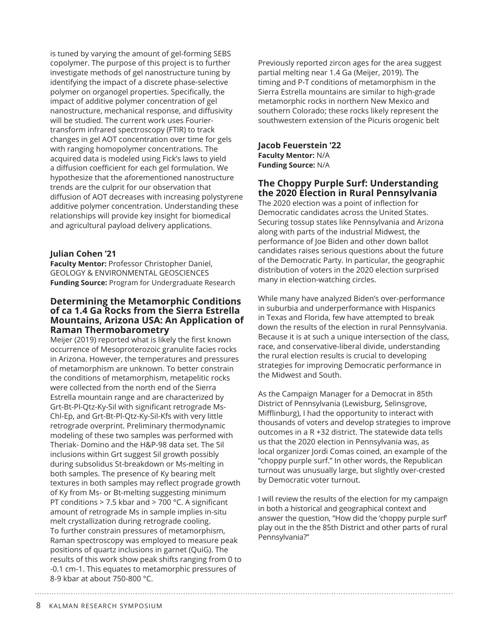is tuned by varying the amount of gel-forming SEBS copolymer. The purpose of this project is to further investigate methods of gel nanostructure tuning by identifying the impact of a discrete phase-selective polymer on organogel properties. Specifically, the impact of additive polymer concentration of gel nanostructure, mechanical response, and diffusivity will be studied. The current work uses Fouriertransform infrared spectroscopy (FTIR) to track changes in gel AOT concentration over time for gels with ranging homopolymer concentrations. The acquired data is modeled using Fick's laws to yield a diffusion coefficient for each gel formulation. We hypothesize that the aforementioned nanostructure trends are the culprit for our observation that diffusion of AOT decreases with increasing polystyrene additive polymer concentration. Understanding these relationships will provide key insight for biomedical and agricultural payload delivery applications.

### **Julian Cohen '21**

**Faculty Mentor:** Professor Christopher Daniel, GEOLOGY & ENVIRONMENTAL GEOSCIENCES **Funding Source:** Program for Undergraduate Research

### **Determining the Metamorphic Conditions of ca 1.4 Ga Rocks from the Sierra Estrella Mountains, Arizona USA: An Application of Raman Thermobarometry**

Meijer (2019) reported what is likely the first known occurrence of Mesoproterozoic granulite facies rocks in Arizona. However, the temperatures and pressures of metamorphism are unknown. To better constrain the conditions of metamorphism, metapelitic rocks were collected from the north end of the Sierra Estrella mountain range and are characterized by Grt-Bt-Pl-Qtz-Ky-Sil with significant retrograde Ms-Chl-Ep, and Grt-Bt-Pl-Qtz-Ky-Sil-Kfs with very little retrograde overprint. Preliminary thermodynamic modeling of these two samples was performed with Theriak- Domino and the H&P-98 data set. The Sil inclusions within Grt suggest Sil growth possibly during subsolidus St-breakdown or Ms-melting in both samples. The presence of Ky bearing melt textures in both samples may reflect prograde growth of Ky from Ms- or Bt-melting suggesting minimum PT conditions > 7.5 kbar and > 700 °C. A significant amount of retrograde Ms in sample implies in-situ melt crystallization during retrograde cooling. To further constrain pressures of metamorphism, Raman spectroscopy was employed to measure peak positions of quartz inclusions in garnet (QuiG). The results of this work show peak shifts ranging from 0 to -0.1 cm-1. This equates to metamorphic pressures of 8-9 kbar at about 750-800 °C.

Previously reported zircon ages for the area suggest partial melting near 1.4 Ga (Meijer, 2019). The timing and P-T conditions of metamorphism in the Sierra Estrella mountains are similar to high-grade metamorphic rocks in northern New Mexico and southern Colorado; these rocks likely represent the southwestern extension of the Picuris orogenic belt

**Jacob Feuerstein '22 Faculty Mentor:** N/A **Funding Source:** N/A

# **The Choppy Purple Surf: Understanding the 2020 Election in Rural Pennsylvania**

The 2020 election was a point of inflection for Democratic candidates across the United States. Securing tossup states like Pennsylvania and Arizona along with parts of the industrial Midwest, the performance of Joe Biden and other down ballot candidates raises serious questions about the future of the Democratic Party. In particular, the geographic distribution of voters in the 2020 election surprised many in election-watching circles.

While many have analyzed Biden's over-performance in suburbia and underperformance with Hispanics in Texas and Florida, few have attempted to break down the results of the election in rural Pennsylvania. Because it is at such a unique intersection of the class, race, and conservative-liberal divide, understanding the rural election results is crucial to developing strategies for improving Democratic performance in the Midwest and South.

As the Campaign Manager for a Democrat in 85th District of Pennsylvania (Lewisburg, Selinsgrove, Mifflinburg), I had the opportunity to interact with thousands of voters and develop strategies to improve outcomes in a R +32 district. The statewide data tells us that the 2020 election in Pennsylvania was, as local organizer Jordi Comas coined, an example of the "choppy purple surf." In other words, the Republican turnout was unusually large, but slightly over-crested by Democratic voter turnout.

I will review the results of the election for my campaign in both a historical and geographical context and answer the question, "How did the 'choppy purple surf' play out in the the 85th District and other parts of rural Pennsylvania?"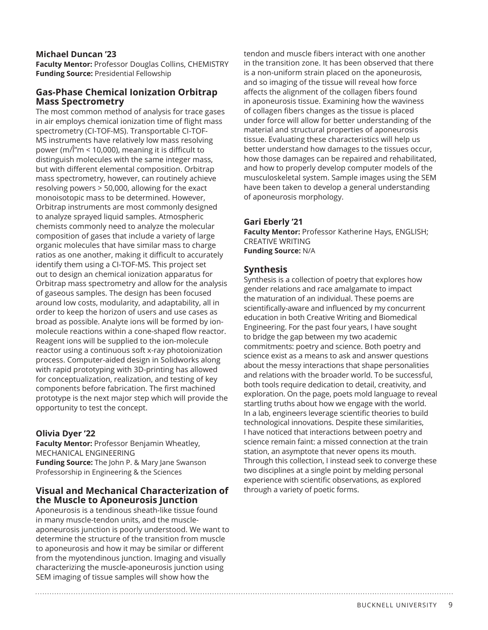## **Michael Duncan '23**

**Faculty Mentor:** Professor Douglas Collins, CHEMISTRY **Funding Source:** Presidential Fellowship

# **Gas-Phase Chemical Ionization Orbitrap Mass Spectrometry**

The most common method of analysis for trace gases in air employs chemical ionization time of flight mass spectrometry (CI-TOF-MS). Transportable CI-TOF-MS instruments have relatively low mass resolving power ( $m/\hat{l}$ "m < 10,000), meaning it is difficult to distinguish molecules with the same integer mass, but with different elemental composition. Orbitrap mass spectrometry, however, can routinely achieve resolving powers > 50,000, allowing for the exact monoisotopic mass to be determined. However, Orbitrap instruments are most commonly designed to analyze sprayed liquid samples. Atmospheric chemists commonly need to analyze the molecular composition of gases that include a variety of large organic molecules that have similar mass to charge ratios as one another, making it difficult to accurately identify them using a CI-TOF-MS. This project set out to design an chemical ionization apparatus for Orbitrap mass spectrometry and allow for the analysis of gaseous samples. The design has been focused around low costs, modularity, and adaptability, all in order to keep the horizon of users and use cases as broad as possible. Analyte ions will be formed by ionmolecule reactions within a cone-shaped flow reactor. Reagent ions will be supplied to the ion-molecule reactor using a continuous soft x-ray photoionization process. Computer-aided design in Solidworks along with rapid prototyping with 3D-printing has allowed for conceptualization, realization, and testing of key components before fabrication. The first machined prototype is the next major step which will provide the opportunity to test the concept.

# **Olivia Dyer '22**

**Faculty Mentor:** Professor Benjamin Wheatley, MECHANICAL ENGINEERING **Funding Source:** The John P. & Mary Jane Swanson Professorship in Engineering & the Sciences

### **Visual and Mechanical Characterization of the Muscle to Aponeurosis Junction**

Aponeurosis is a tendinous sheath-like tissue found in many muscle-tendon units, and the muscleaponeurosis junction is poorly understood. We want to determine the structure of the transition from muscle to aponeurosis and how it may be similar or different from the myotendinous junction. Imaging and visually characterizing the muscle-aponeurosis junction using SEM imaging of tissue samples will show how the

tendon and muscle fibers interact with one another in the transition zone. It has been observed that there is a non-uniform strain placed on the aponeurosis, and so imaging of the tissue will reveal how force affects the alignment of the collagen fibers found in aponeurosis tissue. Examining how the waviness of collagen fibers changes as the tissue is placed under force will allow for better understanding of the material and structural properties of aponeurosis tissue. Evaluating these characteristics will help us better understand how damages to the tissues occur, how those damages can be repaired and rehabilitated, and how to properly develop computer models of the musculoskeletal system. Sample images using the SEM have been taken to develop a general understanding of aponeurosis morphology.

### **Gari Eberly '21**

**Faculty Mentor:** Professor Katherine Hays, ENGLISH; CREATIVE WRITING **Funding Source:** N/A

# **Synthesis**

Synthesis is a collection of poetry that explores how gender relations and race amalgamate to impact the maturation of an individual. These poems are scientifically-aware and influenced by my concurrent education in both Creative Writing and Biomedical Engineering. For the past four years, I have sought to bridge the gap between my two academic commitments: poetry and science. Both poetry and science exist as a means to ask and answer questions about the messy interactions that shape personalities and relations with the broader world. To be successful, both tools require dedication to detail, creativity, and exploration. On the page, poets mold language to reveal startling truths about how we engage with the world. In a lab, engineers leverage scientific theories to build technological innovations. Despite these similarities, I have noticed that interactions between poetry and science remain faint: a missed connection at the train station, an asymptote that never opens its mouth. Through this collection, I instead seek to converge these two disciplines at a single point by melding personal experience with scientific observations, as explored through a variety of poetic forms.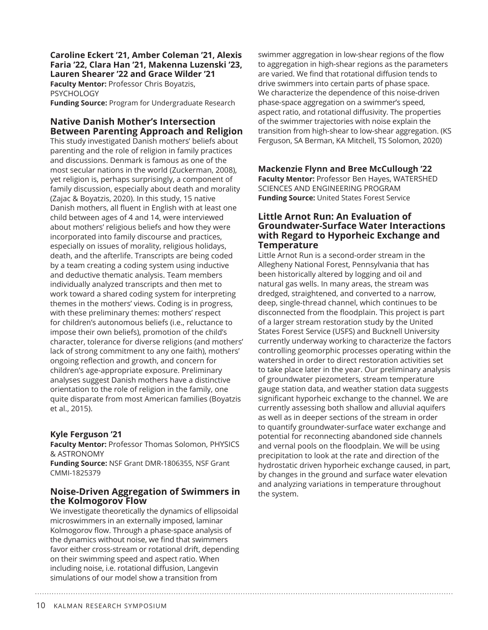**Caroline Eckert '21, Amber Coleman '21, Alexis Faria '22, Clara Han '21, Makenna Luzenski '23, Lauren Shearer '22 and Grace Wilder '21 Faculty Mentor:** Professor Chris Boyatzis,

PSYCHOLOGY

**Funding Source:** Program for Undergraduate Research

# **Native Danish Mother's Intersection Between Parenting Approach and Religion**

This study investigated Danish mothers' beliefs about parenting and the role of religion in family practices and discussions. Denmark is famous as one of the most secular nations in the world (Zuckerman, 2008), yet religion is, perhaps surprisingly, a component of family discussion, especially about death and morality (Zajac & Boyatzis, 2020). In this study, 15 native Danish mothers, all fluent in English with at least one child between ages of 4 and 14, were interviewed about mothers' religious beliefs and how they were incorporated into family discourse and practices, especially on issues of morality, religious holidays, death, and the afterlife. Transcripts are being coded by a team creating a coding system using inductive and deductive thematic analysis. Team members individually analyzed transcripts and then met to work toward a shared coding system for interpreting themes in the mothers' views. Coding is in progress, with these preliminary themes: mothers' respect for children's autonomous beliefs (i.e., reluctance to impose their own beliefs), promotion of the child's character, tolerance for diverse religions (and mothers' lack of strong commitment to any one faith), mothers' ongoing reflection and growth, and concern for children's age-appropriate exposure. Preliminary analyses suggest Danish mothers have a distinctive orientation to the role of religion in the family, one quite disparate from most American families (Boyatzis et al., 2015).

# **Kyle Ferguson '21**

**Faculty Mentor:** Professor Thomas Solomon, PHYSICS & ASTRONOMY **Funding Source:** NSF Grant DMR-1806355, NSF Grant CMMI-1825379

# **Noise-Driven Aggregation of Swimmers in the Kolmogorov Flow**

We investigate theoretically the dynamics of ellipsoidal microswimmers in an externally imposed, laminar Kolmogorov flow. Through a phase-space analysis of the dynamics without noise, we find that swimmers favor either cross-stream or rotational drift, depending on their swimming speed and aspect ratio. When including noise, i.e. rotational diffusion, Langevin simulations of our model show a transition from

swimmer aggregation in low-shear regions of the flow to aggregation in high-shear regions as the parameters are varied. We find that rotational diffusion tends to drive swimmers into certain parts of phase space. We characterize the dependence of this noise-driven phase-space aggregation on a swimmer's speed, aspect ratio, and rotational diffusivity. The properties of the swimmer trajectories with noise explain the transition from high-shear to low-shear aggregation. (KS Ferguson, SA Berman, KA Mitchell, TS Solomon, 2020)

### **Mackenzie Flynn and Bree McCullough '22**

**Faculty Mentor:** Professor Ben Hayes, WATERSHED SCIENCES AND ENGINEERING PROGRAM **Funding Source:** United States Forest Service

#### **Little Arnot Run: An Evaluation of Groundwater-Surface Water Interactions with Regard to Hyporheic Exchange and Temperature**

Little Arnot Run is a second-order stream in the Allegheny National Forest, Pennsylvania that has been historically altered by logging and oil and natural gas wells. In many areas, the stream was dredged, straightened, and converted to a narrow, deep, single-thread channel, which continues to be disconnected from the floodplain. This project is part of a larger stream restoration study by the United States Forest Service (USFS) and Bucknell University currently underway working to characterize the factors controlling geomorphic processes operating within the watershed in order to direct restoration activities set to take place later in the year. Our preliminary analysis of groundwater piezometers, stream temperature gauge station data, and weather station data suggests significant hyporheic exchange to the channel. We are currently assessing both shallow and alluvial aquifers as well as in deeper sections of the stream in order to quantify groundwater-surface water exchange and potential for reconnecting abandoned side channels and vernal pools on the floodplain. We will be using precipitation to look at the rate and direction of the hydrostatic driven hyporheic exchange caused, in part, by changes in the ground and surface water elevation and analyzing variations in temperature throughout the system.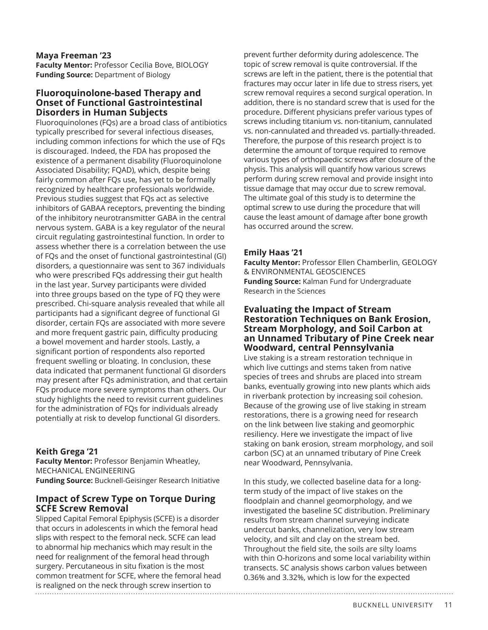#### **Maya Freeman '23**

**Faculty Mentor:** Professor Cecilia Bove, BIOLOGY **Funding Source:** Department of Biology

### **Fluoroquinolone-based Therapy and Onset of Functional Gastrointestinal Disorders in Human Subjects**

Fluoroquinolones (FQs) are a broad class of antibiotics typically prescribed for several infectious diseases, including common infections for which the use of FQs is discouraged. Indeed, the FDA has proposed the existence of a permanent disability (Fluoroquinolone Associated Disability; FQAD), which, despite being fairly common after FQs use, has yet to be formally recognized by healthcare professionals worldwide. Previous studies suggest that FQs act as selective inhibitors of GABAA receptors, preventing the binding of the inhibitory neurotransmitter GABA in the central nervous system. GABA is a key regulator of the neural circuit regulating gastrointestinal function. In order to assess whether there is a correlation between the use of FQs and the onset of functional gastrointestinal (GI) disorders, a questionnaire was sent to 367 individuals who were prescribed FQs addressing their gut health in the last year. Survey participants were divided into three groups based on the type of FQ they were prescribed. Chi-square analysis revealed that while all participants had a significant degree of functional GI disorder, certain FQs are associated with more severe and more frequent gastric pain, difficulty producing a bowel movement and harder stools. Lastly, a significant portion of respondents also reported frequent swelling or bloating. In conclusion, these data indicated that permanent functional GI disorders may present after FQs administration, and that certain FQs produce more severe symptoms than others. Our study highlights the need to revisit current guidelines for the administration of FQs for individuals already potentially at risk to develop functional GI disorders.

# **Keith Grega '21**

**Faculty Mentor:** Professor Benjamin Wheatley, MECHANICAL ENGINEERING **Funding Source:** Bucknell-Geisinger Research Initiative

# **Impact of Screw Type on Torque During SCFE Screw Removal**

Slipped Capital Femoral Epiphysis (SCFE) is a disorder that occurs in adolescents in which the femoral head slips with respect to the femoral neck. SCFE can lead to abnormal hip mechanics which may result in the need for realignment of the femoral head through surgery. Percutaneous in situ fixation is the most common treatment for SCFE, where the femoral head is realigned on the neck through screw insertion to

prevent further deformity during adolescence. The topic of screw removal is quite controversial. If the screws are left in the patient, there is the potential that fractures may occur later in life due to stress risers, yet screw removal requires a second surgical operation. In addition, there is no standard screw that is used for the procedure. Different physicians prefer various types of screws including titanium vs. non-titanium, cannulated vs. non-cannulated and threaded vs. partially-threaded. Therefore, the purpose of this research project is to determine the amount of torque required to remove various types of orthopaedic screws after closure of the physis. This analysis will quantify how various screws perform during screw removal and provide insight into tissue damage that may occur due to screw removal. The ultimate goal of this study is to determine the optimal screw to use during the procedure that will cause the least amount of damage after bone growth has occurred around the screw.

### **Emily Haas '21**

**Faculty Mentor:** Professor Ellen Chamberlin, GEOLOGY & ENVIRONMENTAL GEOSCIENCES **Funding Source:** Kalman Fund for Undergraduate Research in the Sciences

#### **Evaluating the Impact of Stream Restoration Techniques on Bank Erosion, Stream Morphology, and Soil Carbon at an Unnamed Tributary of Pine Creek near Woodward, central Pennsylvania**

Live staking is a stream restoration technique in which live cuttings and stems taken from native species of trees and shrubs are placed into stream banks, eventually growing into new plants which aids in riverbank protection by increasing soil cohesion. Because of the growing use of live staking in stream restorations, there is a growing need for research on the link between live staking and geomorphic resiliency. Here we investigate the impact of live staking on bank erosion, stream morphology, and soil carbon (SC) at an unnamed tributary of Pine Creek near Woodward, Pennsylvania.

In this study, we collected baseline data for a longterm study of the impact of live stakes on the floodplain and channel geomorphology, and we investigated the baseline SC distribution. Preliminary results from stream channel surveying indicate undercut banks, channelization, very low stream velocity, and silt and clay on the stream bed. Throughout the field site, the soils are silty loams with thin O-horizons and some local variability within transects. SC analysis shows carbon values between 0.36% and 3.32%, which is low for the expected

BUCKNELL UNIVERSITY 11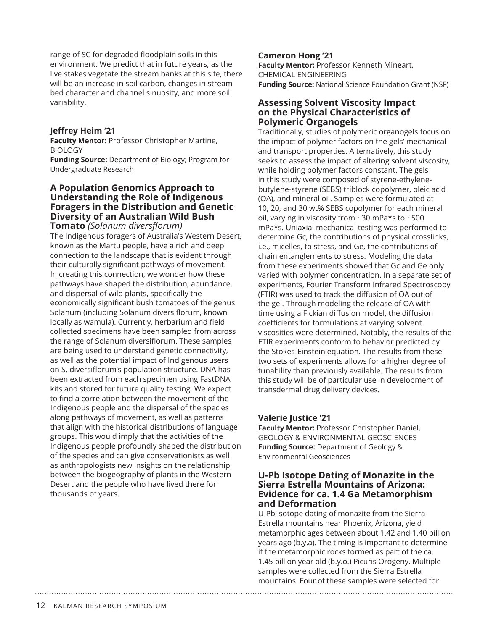range of SC for degraded floodplain soils in this environment. We predict that in future years, as the live stakes vegetate the stream banks at this site, there will be an increase in soil carbon, changes in stream bed character and channel sinuosity, and more soil variability.

### **Jeffrey Heim '21**

**Faculty Mentor:** Professor Christopher Martine, BIOLOGY

**Funding Source:** Department of Biology; Program for Undergraduate Research

#### **A Population Genomics Approach to Understanding the Role of Indigenous Foragers in the Distribution and Genetic Diversity of an Australian Wild Bush Tomato** *(Solanum diversflorum)*

The Indigenous foragers of Australia's Western Desert, known as the Martu people, have a rich and deep connection to the landscape that is evident through their culturally significant pathways of movement. In creating this connection, we wonder how these pathways have shaped the distribution, abundance, and dispersal of wild plants, specifically the economically significant bush tomatoes of the genus Solanum (including Solanum diversiflorum, known locally as wamula). Currently, herbarium and field collected specimens have been sampled from across the range of Solanum diversiflorum. These samples are being used to understand genetic connectivity, as well as the potential impact of Indigenous users on S. diversiflorum's population structure. DNA has been extracted from each specimen using FastDNA kits and stored for future quality testing. We expect to find a correlation between the movement of the Indigenous people and the dispersal of the species along pathways of movement, as well as patterns that align with the historical distributions of language groups. This would imply that the activities of the Indigenous people profoundly shaped the distribution of the species and can give conservationists as well as anthropologists new insights on the relationship between the biogeography of plants in the Western Desert and the people who have lived there for thousands of years.

# **Cameron Hong '21**

**Faculty Mentor:** Professor Kenneth Mineart, CHEMICAL ENGINEERING **Funding Source:** National Science Foundation Grant (NSF)

#### **Assessing Solvent Viscosity Impact on the Physical Characteristics of Polymeric Organogels**

Traditionally, studies of polymeric organogels focus on the impact of polymer factors on the gels' mechanical and transport properties. Alternatively, this study seeks to assess the impact of altering solvent viscosity, while holding polymer factors constant. The gels in this study were composed of styrene-ethylenebutylene-styrene (SEBS) triblock copolymer, oleic acid (OA), and mineral oil. Samples were formulated at 10, 20, and 30 wt% SEBS copolymer for each mineral oil, varying in viscosity from ~30 mPa\*s to ~500 mPa\*s. Uniaxial mechanical testing was performed to determine Gc, the contributions of physical crosslinks, i.e., micelles, to stress, and Ge, the contributions of chain entanglements to stress. Modeling the data from these experiments showed that Gc and Ge only varied with polymer concentration. In a separate set of experiments, Fourier Transform Infrared Spectroscopy (FTIR) was used to track the diffusion of OA out of the gel. Through modeling the release of OA with time using a Fickian diffusion model, the diffusion coefficients for formulations at varying solvent viscosities were determined. Notably, the results of the FTIR experiments conform to behavior predicted by the Stokes-Einstein equation. The results from these two sets of experiments allows for a higher degree of tunability than previously available. The results from this study will be of particular use in development of transdermal drug delivery devices.

# **Valerie Justice '21**

**Faculty Mentor:** Professor Christopher Daniel, GEOLOGY & ENVIRONMENTAL GEOSCIENCES **Funding Source:** Department of Geology & Environmental Geosciences

#### **U-Pb Isotope Dating of Monazite in the Sierra Estrella Mountains of Arizona: Evidence for ca. 1.4 Ga Metamorphism and Deformation**

U-Pb isotope dating of monazite from the Sierra Estrella mountains near Phoenix, Arizona, yield metamorphic ages between about 1.42 and 1.40 billion years ago (b.y.a). The timing is important to determine if the metamorphic rocks formed as part of the ca. 1.45 billion year old (b.y.o.) Picuris Orogeny. Multiple samples were collected from the Sierra Estrella mountains. Four of these samples were selected for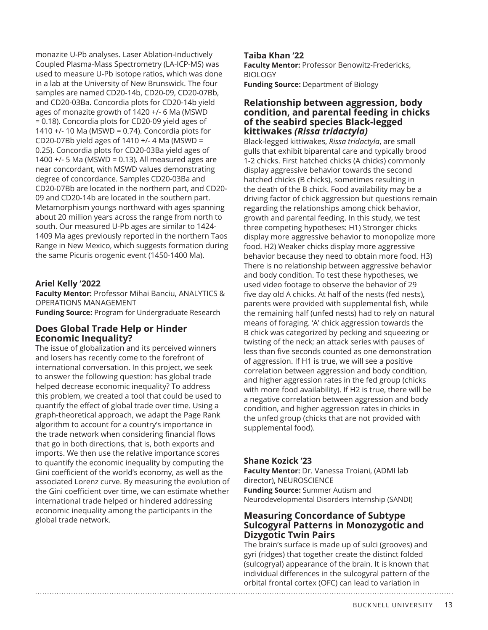monazite U-Pb analyses. Laser Ablation-Inductively Coupled Plasma-Mass Spectrometry (LA-ICP-MS) was used to measure U-Pb isotope ratios, which was done in a lab at the University of New Brunswick. The four samples are named CD20-14b, CD20-09, CD20-07Bb, and CD20-03Ba. Concordia plots for CD20-14b yield ages of monazite growth of 1420 +/- 6 Ma (MSWD = 0.18). Concordia plots for CD20-09 yield ages of 1410 +/- 10 Ma (MSWD = 0.74). Concordia plots for CD20-07Bb yield ages of 1410  $+/-$  4 Ma (MSWD = 0.25). Concordia plots for CD20-03Ba yield ages of 1400 +/- 5 Ma (MSWD = 0.13). All measured ages are near concordant, with MSWD values demonstrating degree of concordance. Samples CD20-03Ba and CD20-07Bb are located in the northern part, and CD20- 09 and CD20-14b are located in the southern part. Metamorphism youngs northward with ages spanning about 20 million years across the range from north to south. Our measured U-Pb ages are similar to 1424- 1409 Ma ages previously reported in the northern Taos Range in New Mexico, which suggests formation during the same Picuris orogenic event (1450-1400 Ma).

### **Ariel Kelly '2022**

**Faculty Mentor:** Professor Mihai Banciu, ANALYTICS & OPERATIONS MANAGEMENT

**Funding Source:** Program for Undergraduate Research

# **Does Global Trade Help or Hinder Economic Inequality?**

The issue of globalization and its perceived winners and losers has recently come to the forefront of international conversation. In this project, we seek to answer the following question: has global trade helped decrease economic inequality? To address this problem, we created a tool that could be used to quantify the effect of global trade over time. Using a graph-theoretical approach, we adapt the Page Rank algorithm to account for a country's importance in the trade network when considering financial flows that go in both directions, that is, both exports and imports. We then use the relative importance scores to quantify the economic inequality by computing the Gini coefficient of the world's economy, as well as the associated Lorenz curve. By measuring the evolution of the Gini coefficient over time, we can estimate whether international trade helped or hindered addressing economic inequality among the participants in the global trade network.

#### **Taiba Khan '22**

**Faculty Mentor:** Professor Benowitz-Fredericks, BIOLOGY **Funding Source:** Department of Biology

#### **Relationship between aggression, body condition, and parental feeding in chicks of the seabird species Black-legged kittiwakes** *(Rissa tridactyla)*

Black-legged kittiwakes, *Rissa tridactyla*, are small gulls that exhibit biparental care and typically brood 1-2 chicks. First hatched chicks (A chicks) commonly display aggressive behavior towards the second hatched chicks (B chicks), sometimes resulting in the death of the B chick. Food availability may be a driving factor of chick aggression but questions remain regarding the relationships among chick behavior, growth and parental feeding. In this study, we test three competing hypotheses: H1) Stronger chicks display more aggressive behavior to monopolize more food. H2) Weaker chicks display more aggressive behavior because they need to obtain more food. H3) There is no relationship between aggressive behavior and body condition. To test these hypotheses, we used video footage to observe the behavior of 29 five day old A chicks. At half of the nests (fed nests), parents were provided with supplemental fish, while the remaining half (unfed nests) had to rely on natural means of foraging. 'A' chick aggression towards the B chick was categorized by pecking and squeezing or twisting of the neck; an attack series with pauses of less than five seconds counted as one demonstration of aggression. If H1 is true, we will see a positive correlation between aggression and body condition, and higher aggression rates in the fed group (chicks with more food availability). If H2 is true, there will be a negative correlation between aggression and body condition, and higher aggression rates in chicks in the unfed group (chicks that are not provided with supplemental food).

#### **Shane Kozick '23**

**Faculty Mentor:** Dr. Vanessa Troiani, (ADMI lab director), NEUROSCIENCE **Funding Source:** Summer Autism and Neurodevelopmental Disorders Internship (SANDI)

#### **Measuring Concordance of Subtype Sulcogyral Patterns in Monozygotic and Dizygotic Twin Pairs**

The brain's surface is made up of sulci (grooves) and gyri (ridges) that together create the distinct folded (sulcogryal) appearance of the brain. It is known that individual differences in the sulcogyral pattern of the orbital frontal cortex (OFC) can lead to variation in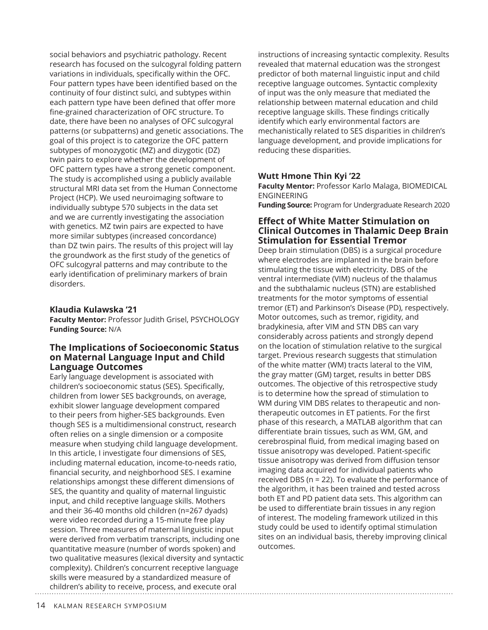social behaviors and psychiatric pathology. Recent research has focused on the sulcogyral folding pattern variations in individuals, specifically within the OFC. Four pattern types have been identified based on the continuity of four distinct sulci, and subtypes within each pattern type have been defined that offer more fine-grained characterization of OFC structure. To date, there have been no analyses of OFC sulcogyral patterns (or subpatterns) and genetic associations. The goal of this project is to categorize the OFC pattern subtypes of monozygotic (MZ) and dizygotic (DZ) twin pairs to explore whether the development of OFC pattern types have a strong genetic component. The study is accomplished using a publicly available structural MRI data set from the Human Connectome Project (HCP). We used neuroimaging software to individually subtype 570 subjects in the data set and we are currently investigating the association with genetics. MZ twin pairs are expected to have more similar subtypes (increased concordance) than DZ twin pairs. The results of this project will lay the groundwork as the first study of the genetics of OFC sulcogyral patterns and may contribute to the early identification of preliminary markers of brain disorders.

#### **Klaudia Kulawska '21**

**Faculty Mentor:** Professor Judith Grisel, PSYCHOLOGY **Funding Source:** N/A

#### **The Implications of Socioeconomic Status on Maternal Language Input and Child Language Outcomes**

Early language development is associated with children's socioeconomic status (SES). Specifically, children from lower SES backgrounds, on average, exhibit slower language development compared to their peers from higher-SES backgrounds. Even though SES is a multidimensional construct, research often relies on a single dimension or a composite measure when studying child language development. In this article, I investigate four dimensions of SES, including maternal education, income-to-needs ratio, financial security, and neighborhood SES. I examine relationships amongst these different dimensions of SES, the quantity and quality of maternal linguistic input, and child receptive language skills. Mothers and their 36-40 months old children (n=267 dyads) were video recorded during a 15-minute free play session. Three measures of maternal linguistic input were derived from verbatim transcripts, including one quantitative measure (number of words spoken) and two qualitative measures (lexical diversity and syntactic complexity). Children's concurrent receptive language skills were measured by a standardized measure of children's ability to receive, process, and execute oral

instructions of increasing syntactic complexity. Results revealed that maternal education was the strongest predictor of both maternal linguistic input and child receptive language outcomes. Syntactic complexity of input was the only measure that mediated the relationship between maternal education and child receptive language skills. These findings critically identify which early environmental factors are mechanistically related to SES disparities in children's language development, and provide implications for reducing these disparities.

### **Wutt Hmone Thin Kyi '22**

**Faculty Mentor:** Professor Karlo Malaga, BIOMEDICAL ENGINEERING

**Funding Source:** Program for Undergraduate Research 2020

#### **Effect of White Matter Stimulation on Clinical Outcomes in Thalamic Deep Brain Stimulation for Essential Tremor**

Deep brain stimulation (DBS) is a surgical procedure where electrodes are implanted in the brain before stimulating the tissue with electricity. DBS of the ventral intermediate (VIM) nucleus of the thalamus and the subthalamic nucleus (STN) are established treatments for the motor symptoms of essential tremor (ET) and Parkinson's Disease (PD), respectively. Motor outcomes, such as tremor, rigidity, and bradykinesia, after VIM and STN DBS can vary considerably across patients and strongly depend on the location of stimulation relative to the surgical target. Previous research suggests that stimulation of the white matter (WM) tracts lateral to the VIM, the gray matter (GM) target, results in better DBS outcomes. The objective of this retrospective study is to determine how the spread of stimulation to WM during VIM DBS relates to therapeutic and nontherapeutic outcomes in ET patients. For the first phase of this research, a MATLAB algorithm that can differentiate brain tissues, such as WM, GM, and cerebrospinal fluid, from medical imaging based on tissue anisotropy was developed. Patient-specific tissue anisotropy was derived from diffusion tensor imaging data acquired for individual patients who received DBS (n = 22). To evaluate the performance of the algorithm, it has been trained and tested across both ET and PD patient data sets. This algorithm can be used to differentiate brain tissues in any region of interest. The modeling framework utilized in this study could be used to identify optimal stimulation sites on an individual basis, thereby improving clinical outcomes.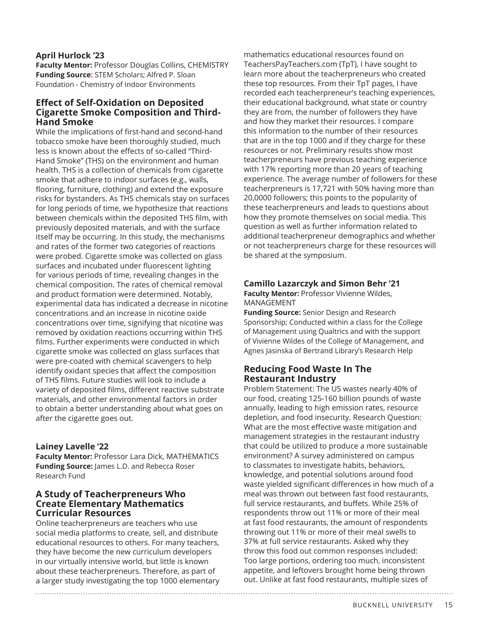#### **April Hurlock '23**

**Faculty Mentor:** Professor Douglas Collins, CHEMISTRY **Funding Source:** STEM Scholars; Alfred P. Sloan Foundation - Chemistry of Indoor Environments

## **Effect of Self-Oxidation on Deposited Cigarette Smoke Composition and Third-Hand Smoke**

While the implications of first-hand and second-hand tobacco smoke have been thoroughly studied, much less is known about the effects of so-called "Third-Hand Smoke" (THS) on the environment and human health. THS is a collection of chemicals from cigarette smoke that adhere to indoor surfaces (e.g., walls, flooring, furniture, clothing) and extend the exposure risks for bystanders. As THS chemicals stay on surfaces for long periods of time, we hypothesize that reactions between chemicals within the deposited THS film, with previously deposited materials, and with the surface itself may be occurring. In this study, the mechanisms and rates of the former two categories of reactions were probed. Cigarette smoke was collected on glass surfaces and incubated under fluorescent lighting for various periods of time, revealing changes in the chemical composition. The rates of chemical removal and product formation were determined. Notably, experimental data has indicated a decrease in nicotine concentrations and an increase in nicotine oxide concentrations over time, signifying that nicotine was removed by oxidation reactions occurring within THS films. Further experiments were conducted in which cigarette smoke was collected on glass surfaces that were pre-coated with chemical scavengers to help identify oxidant species that affect the composition of THS films. Future studies will look to include a variety of deposited films, different reactive substrate materials, and other environmental factors in order to obtain a better understanding about what goes on after the cigarette goes out.

#### **Lainey Lavelle '22**

**Faculty Mentor:** Professor Lara Dick, MATHEMATICS **Funding Source:** lames L.D. and Rebecca Roser Research Fund

# **A Study of Teacherpreneurs Who Create Elementary Mathematics Curricular Resources**

Online teacherpreneurs are teachers who use social media platforms to create, sell, and distribute educational resources to others. For many teachers, they have become the new curriculum developers in our virtually intensive world, but little is known about these teacherpreneurs. Therefore, as part of a larger study investigating the top 1000 elementary

mathematics educational resources found on TeachersPayTeachers.com (TpT), I have sought to learn more about the teacherpreneurs who created these top resources. From their TpT pages, I have recorded each teacherpreneur's teaching experiences, their educational background, what state or country they are from, the number of followers they have and how they market their resources. I compare this information to the number of their resources that are in the top 1000 and if they charge for these resources or not. Preliminary results show most teacherpreneurs have previous teaching experience with 17% reporting more than 20 years of teaching experience. The average number of followers for these teacherpreneurs is 17,721 with 50% having more than 20,0000 followers; this points to the popularity of these teacherpreneurs and leads to questions about how they promote themselves on social media. This question as well as further information related to additional teacherpreneur demographics and whether or not teacherpreneurs charge for these resources will be shared at the symposium.

# **Camillo Lazarczyk and Simon Behr '21**

**Faculty Mentor:** Professor Vivienne Wildes, MANAGEMENT

**Funding Source:** Senior Design and Research Sponsorship; Conducted within a class for the College of Management using Qualtrics and with the support of Vivienne Wildes of the College of Management, and Agnes Jasinska of Bertrand Library's Research Help

# **Reducing Food Waste In The Restaurant Industry**

Problem Statement: The US wastes nearly 40% of our food, creating 125-160 billion pounds of waste annually, leading to high emission rates, resource depletion, and food insecurity. Research Question: What are the most effective waste mitigation and management strategies in the restaurant industry that could be utilized to produce a more sustainable environment? A survey administered on campus to classmates to investigate habits, behaviors, knowledge, and potential solutions around food waste yielded significant differences in how much of a meal was thrown out between fast food restaurants, full service restaurants, and buffets. While 25% of respondents throw out 11% or more of their meal at fast food restaurants, the amount of respondents throwing out 11% or more of their meal swells to 37% at full service restaurants. Asked why they throw this food out common responses included: Too large portions, ordering too much, inconsistent appetite, and leftovers brought home being thrown out. Unlike at fast food restaurants, multiple sizes of

BUCKNELL UNIVERSITY 15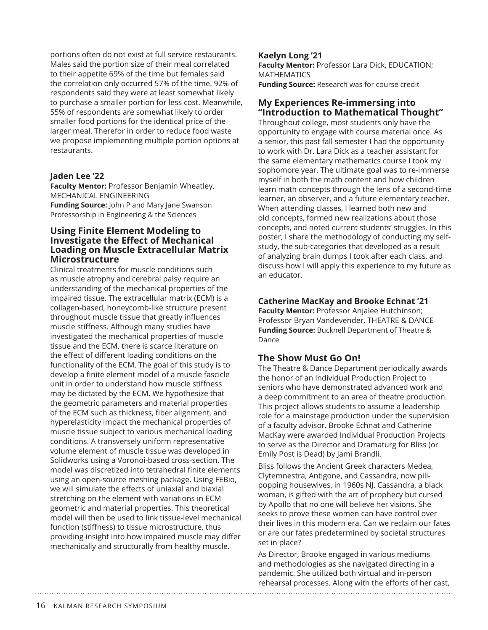portions often do not exist at full service restaurants. Males said the portion size of their meal correlated to their appetite 69% of the time but females said the correlation only occurred 57% of the time. 92% of respondents said they were at least somewhat likely to purchase a smaller portion for less cost. Meanwhile, 55% of respondents are somewhat likely to order smaller food portions for the identical price of the larger meal. Therefor in order to reduce food waste we propose implementing multiple portion options at restaurants.

#### **Jaden Lee '22**

**Faculty Mentor:** Professor Benjamin Wheatley, MECHANICAL ENGINEERING **Funding Source:** John P and Mary Jane Swanson Professorship in Engineering & the Sciences

#### **Using Finite Element Modeling to Investigate the Effect of Mechanical Loading on Muscle Extracellular Matrix Microstructure**

Clinical treatments for muscle conditions such as muscle atrophy and cerebral palsy require an understanding of the mechanical properties of the impaired tissue. The extracellular matrix (ECM) is a collagen-based, honeycomb-like structure present throughout muscle tissue that greatly influences muscle stiffness. Although many studies have investigated the mechanical properties of muscle tissue and the ECM, there is scarce literature on the effect of different loading conditions on the functionality of the ECM. The goal of this study is to develop a finite element model of a muscle fascicle unit in order to understand how muscle stiffness may be dictated by the ECM. We hypothesize that the geometric parameters and material properties of the ECM such as thickness, fiber alignment, and hyperelasticity impact the mechanical properties of muscle tissue subject to various mechanical loading conditions. A transversely uniform representative volume element of muscle tissue was developed in Solidworks using a Voronoi-based cross-section. The model was discretized into tetrahedral finite elements using an open-source meshing package. Using FEBio, we will simulate the effects of uniaxial and biaxial stretching on the element with variations in ECM geometric and material properties. This theoretical model will then be used to link tissue-level mechanical function (stiffness) to tissue microstructure, thus providing insight into how impaired muscle may differ mechanically and structurally from healthy muscle.

#### **Kaelyn Long '21**

**Faculty Mentor:** Professor Lara Dick, EDUCATION; **MATHEMATICS Funding Source:** Research was for course credit

# **My Experiences Re-immersing into "Introduction to Mathematical Thought"**

Throughout college, most students only have the opportunity to engage with course material once. As a senior, this past fall semester I had the opportunity to work with Dr. Lara Dick as a teacher assistant for the same elementary mathematics course I took my sophomore year. The ultimate goal was to re-immerse myself in both the math content and how children learn math concepts through the lens of a second-time learner, an observer, and a future elementary teacher. When attending classes, I learned both new and old concepts, formed new realizations about those concepts, and noted current students' struggles. In this poster, I share the methodology of conducting my selfstudy, the sub-categories that developed as a result of analyzing brain dumps I took after each class, and discuss how I will apply this experience to my future as an educator.

### **Catherine MacKay and Brooke Echnat '21**

**Faculty Mentor:** Professor Anjalee Hutchinson; Professor Bryan Vandevender, THEATRE & DANCE **Funding Source:** Bucknell Department of Theatre & Dance

# **The Show Must Go On!**

The Theatre & Dance Department periodically awards the honor of an Individual Production Project to seniors who have demonstrated advanced work and a deep commitment to an area of theatre production. This project allows students to assume a leadership role for a mainstage production under the supervision of a faculty advisor. Brooke Echnat and Catherine MacKay were awarded Individual Production Projects to serve as the Director and Dramaturg for Bliss (or Emily Post is Dead) by Jami Brandli.

Bliss follows the Ancient Greek characters Medea, Clytemnestra, Antigone, and Cassandra, now pillpopping housewives, in 1960s NJ. Cassandra, a black woman, is gifted with the art of prophecy but cursed by Apollo that no one will believe her visions. She seeks to prove these women can have control over their lives in this modern era. Can we reclaim our fates or are our fates predetermined by societal structures set in place?

As Director, Brooke engaged in various mediums and methodologies as she navigated directing in a pandemic. She utilized both virtual and in-person rehearsal processes. Along with the efforts of her cast,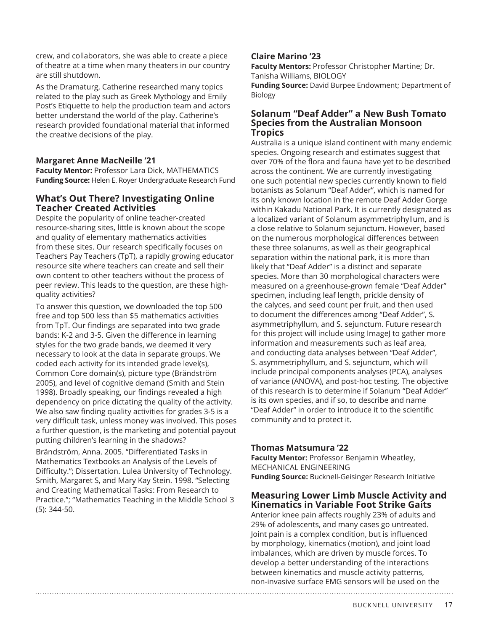crew, and collaborators, she was able to create a piece of theatre at a time when many theaters in our country are still shutdown.

As the Dramaturg, Catherine researched many topics related to the play such as Greek Mythology and Emily Post's Etiquette to help the production team and actors better understand the world of the play. Catherine's research provided foundational material that informed the creative decisions of the play.

### **Margaret Anne MacNeille '21**

**Faculty Mentor:** Professor Lara Dick, MATHEMATICS **Funding Source:** Helen E. Royer Undergraduate Research Fund

## **What's Out There? Investigating Online Teacher Created Activities**

Despite the popularity of online teacher-created resource-sharing sites, little is known about the scope and quality of elementary mathematics activities from these sites. Our research specifically focuses on Teachers Pay Teachers (TpT), a rapidly growing educator resource site where teachers can create and sell their own content to other teachers without the process of peer review. This leads to the question, are these highquality activities?

To answer this question, we downloaded the top 500 free and top 500 less than \$5 mathematics activities from TpT. Our findings are separated into two grade bands: K-2 and 3-5. Given the difference in learning styles for the two grade bands, we deemed it very necessary to look at the data in separate groups. We coded each activity for its intended grade level(s), Common Core domain(s), picture type (Brändström 2005), and level of cognitive demand (Smith and Stein 1998). Broadly speaking, our findings revealed a high dependency on price dictating the quality of the activity. We also saw finding quality activities for grades 3-5 is a very difficult task, unless money was involved. This poses a further question, is the marketing and potential payout putting children's learning in the shadows?

Brändström, Anna. 2005. "Differentiated Tasks in Mathematics Textbooks an Analysis of the Levels of Difficulty."; Dissertation. Lulea University of Technology. Smith, Margaret S, and Mary Kay Stein. 1998. "Selecting and Creating Mathematical Tasks: From Research to Practice."; "Mathematics Teaching in the Middle School 3 (5): 344-50.

# **Claire Marino '23**

**Faculty Mentors:** Professor Christopher Martine; Dr. Tanisha Williams, BIOLOGY

**Funding Source:** David Burpee Endowment; Department of Biology

#### **Solanum "Deaf Adder" a New Bush Tomato Species from the Australian Monsoon Tropics**

Australia is a unique island continent with many endemic species. Ongoing research and estimates suggest that over 70% of the flora and fauna have yet to be described across the continent. We are currently investigating one such potential new species currently known to field botanists as Solanum "Deaf Adder", which is named for its only known location in the remote Deaf Adder Gorge within Kakadu National Park. It is currently designated as a localized variant of Solanum asymmetriphyllum, and is a close relative to Solanum sejunctum. However, based on the numerous morphological differences between these three solanums, as well as their geographical separation within the national park, it is more than likely that "Deaf Adder" is a distinct and separate species. More than 30 morphological characters were measured on a greenhouse-grown female "Deaf Adder" specimen, including leaf length, prickle density of the calyces, and seed count per fruit, and then used to document the differences among "Deaf Adder", S. asymmetriphyllum, and S. sejunctum. Future research for this project will include using ImageJ to gather more information and measurements such as leaf area, and conducting data analyses between "Deaf Adder", S. asymmetriphyllum, and S. sejunctum, which will include principal components analyses (PCA), analyses of variance (ANOVA), and post-hoc testing. The objective of this research is to determine if Solanum "Deaf Adder" is its own species, and if so, to describe and name "Deaf Adder" in order to introduce it to the scientific community and to protect it.

# **Thomas Matsumura '22**

**Faculty Mentor:** Professor Benjamin Wheatley, MECHANICAL ENGINEERING **Funding Source:** Bucknell-Geisinger Research Initiative

# **Measuring Lower Limb Muscle Activity and Kinematics in Variable Foot Strike Gaits**

Anterior knee pain affects roughly 23% of adults and 29% of adolescents, and many cases go untreated. Joint pain is a complex condition, but is influenced by morphology, kinematics (motion), and joint load imbalances, which are driven by muscle forces. To develop a better understanding of the interactions between kinematics and muscle activity patterns, non-invasive surface EMG sensors will be used on the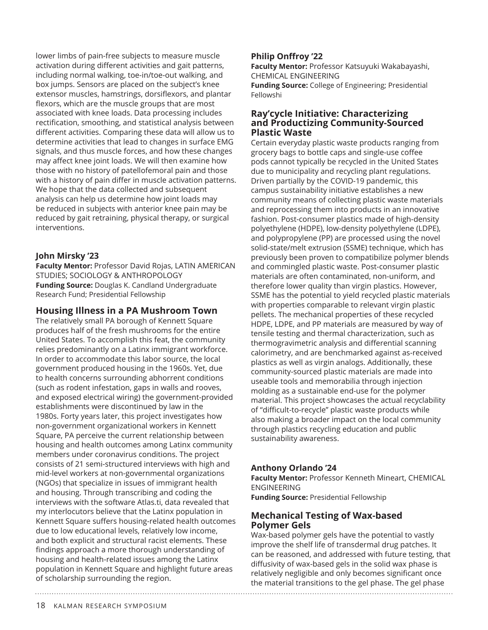lower limbs of pain-free subjects to measure muscle activation during different activities and gait patterns, including normal walking, toe-in/toe-out walking, and box jumps. Sensors are placed on the subject's knee extensor muscles, hamstrings, dorsiflexors, and plantar flexors, which are the muscle groups that are most associated with knee loads. Data processing includes rectification, smoothing, and statistical analysis between different activities. Comparing these data will allow us to determine activities that lead to changes in surface EMG signals, and thus muscle forces, and how these changes may affect knee joint loads. We will then examine how those with no history of patellofemoral pain and those with a history of pain differ in muscle activation patterns. We hope that the data collected and subsequent analysis can help us determine how joint loads may be reduced in subjects with anterior knee pain may be reduced by gait retraining, physical therapy, or surgical interventions.

### **John Mirsky '23**

**Faculty Mentor:** Professor David Rojas, LATIN AMERICAN STUDIES; SOCIOLOGY & ANTHROPOLOGY **Funding Source:** Douglas K. Candland Undergraduate Research Fund; Presidential Fellowship

#### **Housing Illness in a PA Mushroom Town**

The relatively small PA borough of Kennett Square produces half of the fresh mushrooms for the entire United States. To accomplish this feat, the community relies predominantly on a Latinx immigrant workforce. In order to accommodate this labor source, the local government produced housing in the 1960s. Yet, due to health concerns surrounding abhorrent conditions (such as rodent infestation, gaps in walls and rooves, and exposed electrical wiring) the government-provided establishments were discontinued by law in the 1980s. Forty years later, this project investigates how non-government organizational workers in Kennett Square, PA perceive the current relationship between housing and health outcomes among Latinx community members under coronavirus conditions. The project consists of 21 semi-structured interviews with high and mid-level workers at non-governmental organizations (NGOs) that specialize in issues of immigrant health and housing. Through transcribing and coding the interviews with the software Atlas.ti, data revealed that my interlocutors believe that the Latinx population in Kennett Square suffers housing-related health outcomes due to low educational levels, relatively low income, and both explicit and structural racist elements. These findings approach a more thorough understanding of housing and health-related issues among the Latinx population in Kennett Square and highlight future areas of scholarship surrounding the region.

### **Philip Onffroy '22**

**Faculty Mentor:** Professor Katsuyuki Wakabayashi, CHEMICAL ENGINEERING

**Funding Source:** College of Engineering; Presidential Fellowshi

### **Ray'cycle Initiative: Characterizing and Productizing Community-Sourced Plastic Waste**

Certain everyday plastic waste products ranging from grocery bags to bottle caps and single-use coffee pods cannot typically be recycled in the United States due to municipality and recycling plant regulations. Driven partially by the COVID-19 pandemic, this campus sustainability initiative establishes a new community means of collecting plastic waste materials and reprocessing them into products in an innovative fashion. Post-consumer plastics made of high-density polyethylene (HDPE), low-density polyethylene (LDPE), and polypropylene (PP) are processed using the novel solid-state/melt extrusion (SSME) technique, which has previously been proven to compatibilize polymer blends and commingled plastic waste. Post-consumer plastic materials are often contaminated, non-uniform, and therefore lower quality than virgin plastics. However, SSME has the potential to yield recycled plastic materials with properties comparable to relevant virgin plastic pellets. The mechanical properties of these recycled HDPE, LDPE, and PP materials are measured by way of tensile testing and thermal characterization, such as thermogravimetric analysis and differential scanning calorimetry, and are benchmarked against as-received plastics as well as virgin analogs. Additionally, these community-sourced plastic materials are made into useable tools and memorabilia through injection molding as a sustainable end-use for the polymer material. This project showcases the actual recyclability of "difficult-to-recycle" plastic waste products while also making a broader impact on the local community through plastics recycling education and public sustainability awareness.

#### **Anthony Orlando '24**

**Faculty Mentor:** Professor Kenneth Mineart, CHEMICAL ENGINEERING

**Funding Source:** Presidential Fellowship

# **Mechanical Testing of Wax-based Polymer Gels**

Wax-based polymer gels have the potential to vastly improve the shelf life of transdermal drug patches. It can be reasoned, and addressed with future testing, that diffusivity of wax-based gels in the solid wax phase is relatively negligible and only becomes significant once the material transitions to the gel phase. The gel phase

18 KALMAN RESEARCH SYMPOSIUM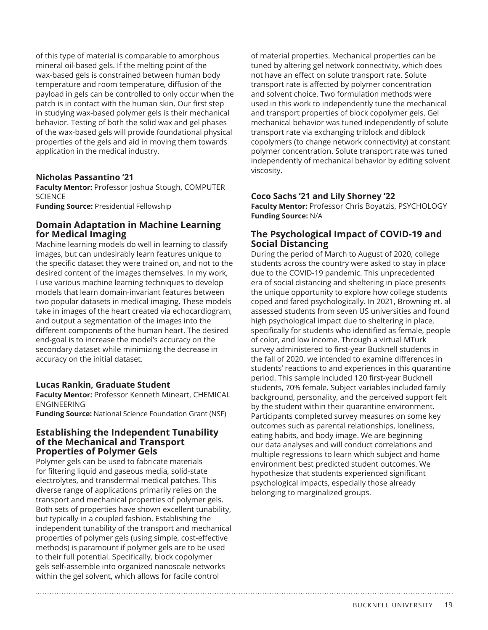of this type of material is comparable to amorphous mineral oil-based gels. If the melting point of the wax-based gels is constrained between human body temperature and room temperature, diffusion of the payload in gels can be controlled to only occur when the patch is in contact with the human skin. Our first step in studying wax-based polymer gels is their mechanical behavior. Testing of both the solid wax and gel phases of the wax-based gels will provide foundational physical properties of the gels and aid in moving them towards application in the medical industry.

#### **Nicholas Passantino '21**

**Faculty Mentor:** Professor Joshua Stough, COMPUTER **SCIENCE** 

**Funding Source:** Presidential Fellowship

### **Domain Adaptation in Machine Learning for Medical Imaging**

Machine learning models do well in learning to classify images, but can undesirably learn features unique to the specific dataset they were trained on, and not to the desired content of the images themselves. In my work, I use various machine learning techniques to develop models that learn domain-invariant features between two popular datasets in medical imaging. These models take in images of the heart created via echocardiogram, and output a segmentation of the images into the different components of the human heart. The desired end-goal is to increase the model's accuracy on the secondary dataset while minimizing the decrease in accuracy on the initial dataset.

#### **Lucas Rankin, Graduate Student**

**Faculty Mentor:** Professor Kenneth Mineart, CHEMICAL ENGINEERING

**Funding Source:** National Science Foundation Grant (NSF)

#### **Establishing the Independent Tunability of the Mechanical and Transport Properties of Polymer Gels**

Polymer gels can be used to fabricate materials for filtering liquid and gaseous media, solid-state electrolytes, and transdermal medical patches. This diverse range of applications primarily relies on the transport and mechanical properties of polymer gels. Both sets of properties have shown excellent tunability, but typically in a coupled fashion. Establishing the independent tunability of the transport and mechanical properties of polymer gels (using simple, cost-effective methods) is paramount if polymer gels are to be used to their full potential. Specifically, block copolymer gels self-assemble into organized nanoscale networks within the gel solvent, which allows for facile control

of material properties. Mechanical properties can be tuned by altering gel network connectivity, which does not have an effect on solute transport rate. Solute transport rate is affected by polymer concentration and solvent choice. Two formulation methods were used in this work to independently tune the mechanical and transport properties of block copolymer gels. Gel mechanical behavior was tuned independently of solute transport rate via exchanging triblock and diblock copolymers (to change network connectivity) at constant polymer concentration. Solute transport rate was tuned independently of mechanical behavior by editing solvent viscosity.

#### **Coco Sachs '21 and Lily Shorney '22**

**Faculty Mentor:** Professor Chris Boyatzis, PSYCHOLOGY **Funding Source:** N/A

### **The Psychological Impact of COVID-19 and Social Distancing**

During the period of March to August of 2020, college students across the country were asked to stay in place due to the COVID-19 pandemic. This unprecedented era of social distancing and sheltering in place presents the unique opportunity to explore how college students coped and fared psychologically. In 2021, Browning et. al assessed students from seven US universities and found high psychological impact due to sheltering in place, specifically for students who identified as female, people of color, and low income. Through a virtual MTurk survey administered to first-year Bucknell students in the fall of 2020, we intended to examine differences in students' reactions to and experiences in this quarantine period. This sample included 120 first-year Bucknell students, 70% female. Subject variables included family background, personality, and the perceived support felt by the student within their quarantine environment. Participants completed survey measures on some key outcomes such as parental relationships, loneliness, eating habits, and body image. We are beginning our data analyses and will conduct correlations and multiple regressions to learn which subject and home environment best predicted student outcomes. We hypothesize that students experienced significant psychological impacts, especially those already belonging to marginalized groups.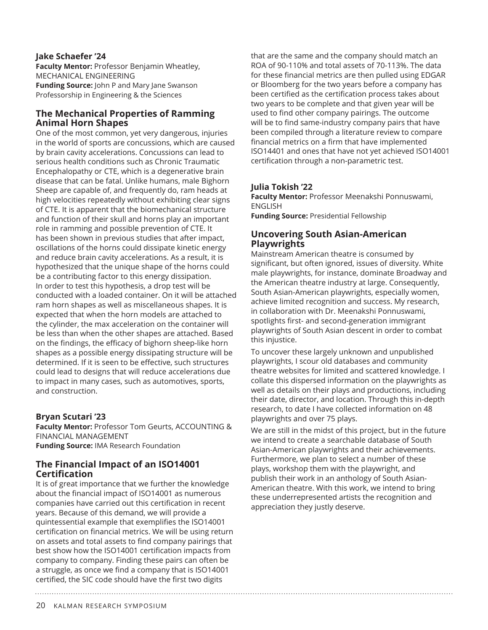#### **Jake Schaefer '24**

**Faculty Mentor:** Professor Benjamin Wheatley, MECHANICAL ENGINEERING **Funding Source:** John P and Mary Jane Swanson Professorship in Engineering & the Sciences

# **The Mechanical Properties of Ramming Animal Horn Shapes**

One of the most common, yet very dangerous, injuries in the world of sports are concussions, which are caused by brain cavity accelerations. Concussions can lead to serious health conditions such as Chronic Traumatic Encephalopathy or CTE, which is a degenerative brain disease that can be fatal. Unlike humans, male Bighorn Sheep are capable of, and frequently do, ram heads at high velocities repeatedly without exhibiting clear signs of CTE. It is apparent that the biomechanical structure and function of their skull and horns play an important role in ramming and possible prevention of CTE. It has been shown in previous studies that after impact, oscillations of the horns could dissipate kinetic energy and reduce brain cavity accelerations. As a result, it is hypothesized that the unique shape of the horns could be a contributing factor to this energy dissipation. In order to test this hypothesis, a drop test will be conducted with a loaded container. On it will be attached ram horn shapes as well as miscellaneous shapes. It is expected that when the horn models are attached to the cylinder, the max acceleration on the container will be less than when the other shapes are attached. Based on the findings, the efficacy of bighorn sheep-like horn shapes as a possible energy dissipating structure will be determined. If it is seen to be effective, such structures could lead to designs that will reduce accelerations due to impact in many cases, such as automotives, sports, and construction.

# **Bryan Scutari '23**

**Faculty Mentor:** Professor Tom Geurts, ACCOUNTING & FINANCIAL MANAGEMENT **Funding Source:** IMA Research Foundation

# **The Financial Impact of an ISO14001 Certification**

It is of great importance that we further the knowledge about the financial impact of ISO14001 as numerous companies have carried out this certification in recent years. Because of this demand, we will provide a quintessential example that exemplifies the ISO14001 certification on financial metrics. We will be using return on assets and total assets to find company pairings that best show how the ISO14001 certification impacts from company to company. Finding these pairs can often be a struggle, as once we find a company that is ISO14001 certified, the SIC code should have the first two digits

that are the same and the company should match an ROA of 90-110% and total assets of 70-113%. The data for these financial metrics are then pulled using EDGAR or Bloomberg for the two years before a company has been certified as the certification process takes about two years to be complete and that given year will be used to find other company pairings. The outcome will be to find same-industry company pairs that have been compiled through a literature review to compare financial metrics on a firm that have implemented ISO14401 and ones that have not yet achieved ISO14001 certification through a non-parametric test.

# **Julia Tokish '22**

**Faculty Mentor:** Professor Meenakshi Ponnuswami, ENGLISH

**Funding Source:** Presidential Fellowship

### **Uncovering South Asian-American Playwrights**

Mainstream American theatre is consumed by significant, but often ignored, issues of diversity. White male playwrights, for instance, dominate Broadway and the American theatre industry at large. Consequently, South Asian-American playwrights, especially women, achieve limited recognition and success. My research, in collaboration with Dr. Meenakshi Ponnuswami, spotlights first- and second-generation immigrant playwrights of South Asian descent in order to combat this injustice.

To uncover these largely unknown and unpublished playwrights, I scour old databases and community theatre websites for limited and scattered knowledge. I collate this dispersed information on the playwrights as well as details on their plays and productions, including their date, director, and location. Through this in-depth research, to date I have collected information on 48 playwrights and over 75 plays.

We are still in the midst of this project, but in the future we intend to create a searchable database of South Asian-American playwrights and their achievements. Furthermore, we plan to select a number of these plays, workshop them with the playwright, and publish their work in an anthology of South Asian-American theatre. With this work, we intend to bring these underrepresented artists the recognition and appreciation they justly deserve.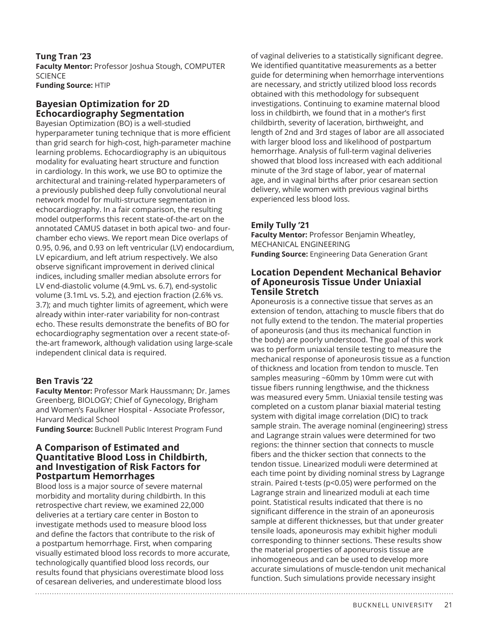### **Tung Tran '23**

**Faculty Mentor:** Professor Joshua Stough, COMPUTER **SCIENCE Funding Source:** HTIP

# **Bayesian Optimization for 2D Echocardiography Segmentation**

Bayesian Optimization (BO) is a well-studied hyperparameter tuning technique that is more efficient than grid search for high-cost, high-parameter machine learning problems. Echocardiography is an ubiquitous modality for evaluating heart structure and function in cardiology. In this work, we use BO to optimize the architectural and training-related hyperparameters of a previously published deep fully convolutional neural network model for multi-structure segmentation in echocardiography. In a fair comparison, the resulting model outperforms this recent state-of-the-art on the annotated CAMUS dataset in both apical two- and fourchamber echo views. We report mean Dice overlaps of 0.95, 0.96, and 0.93 on left ventricular (LV) endocardium, LV epicardium, and left atrium respectively. We also observe significant improvement in derived clinical indices, including smaller median absolute errors for LV end-diastolic volume (4.9mL vs. 6.7), end-systolic volume (3.1mL vs. 5.2), and ejection fraction (2.6% vs. 3.7); and much tighter limits of agreement, which were already within inter-rater variability for non-contrast echo. These results demonstrate the benefits of BO for echocardiography segmentation over a recent state-ofthe-art framework, although validation using large-scale independent clinical data is required.

# **Ben Travis '22**

**Faculty Mentor:** Professor Mark Haussmann; Dr. James Greenberg, BIOLOGY; Chief of Gynecology, Brigham and Women's Faulkner Hospital - Associate Professor, Harvard Medical School

**Funding Source:** Bucknell Public Interest Program Fund

#### **A Comparison of Estimated and Quantitative Blood Loss in Childbirth, and Investigation of Risk Factors for Postpartum Hemorrhages**

Blood loss is a major source of severe maternal morbidity and mortality during childbirth. In this retrospective chart review, we examined 22,000 deliveries at a tertiary care center in Boston to investigate methods used to measure blood loss and define the factors that contribute to the risk of a postpartum hemorrhage. First, when comparing visually estimated blood loss records to more accurate, technologically quantified blood loss records, our results found that physicians overestimate blood loss of cesarean deliveries, and underestimate blood loss

of vaginal deliveries to a statistically significant degree. We identified quantitative measurements as a better guide for determining when hemorrhage interventions are necessary, and strictly utilized blood loss records obtained with this methodology for subsequent investigations. Continuing to examine maternal blood loss in childbirth, we found that in a mother's first childbirth, severity of laceration, birthweight, and length of 2nd and 3rd stages of labor are all associated with larger blood loss and likelihood of postpartum hemorrhage. Analysis of full-term vaginal deliveries showed that blood loss increased with each additional minute of the 3rd stage of labor, year of maternal age, and in vaginal births after prior cesarean section delivery, while women with previous vaginal births experienced less blood loss.

# **Emily Tully '21**

**Faculty Mentor:** Professor Benjamin Wheatley, MECHANICAL ENGINEERING **Funding Source:** Engineering Data Generation Grant

# **Location Dependent Mechanical Behavior of Aponeurosis Tissue Under Uniaxial Tensile Stretch**

Aponeurosis is a connective tissue that serves as an extension of tendon, attaching to muscle fibers that do not fully extend to the tendon. The material properties of aponeurosis (and thus its mechanical function in the body) are poorly understood. The goal of this work was to perform uniaxial tensile testing to measure the mechanical response of aponeurosis tissue as a function of thickness and location from tendon to muscle. Ten samples measuring ~60mm by 10mm were cut with tissue fibers running lengthwise, and the thickness was measured every 5mm. Uniaxial tensile testing was completed on a custom planar biaxial material testing system with digital image correlation (DIC) to track sample strain. The average nominal (engineering) stress and Lagrange strain values were determined for two regions: the thinner section that connects to muscle fibers and the thicker section that connects to the tendon tissue. Linearized moduli were determined at each time point by dividing nominal stress by Lagrange strain. Paired t-tests (p<0.05) were performed on the Lagrange strain and linearized moduli at each time point. Statistical results indicated that there is no significant difference in the strain of an aponeurosis sample at different thicknesses, but that under greater tensile loads, aponeurosis may exhibit higher moduli corresponding to thinner sections. These results show the material properties of aponeurosis tissue are inhomogeneous and can be used to develop more accurate simulations of muscle-tendon unit mechanical function. Such simulations provide necessary insight

BUCKNELL UNIVERSITY 21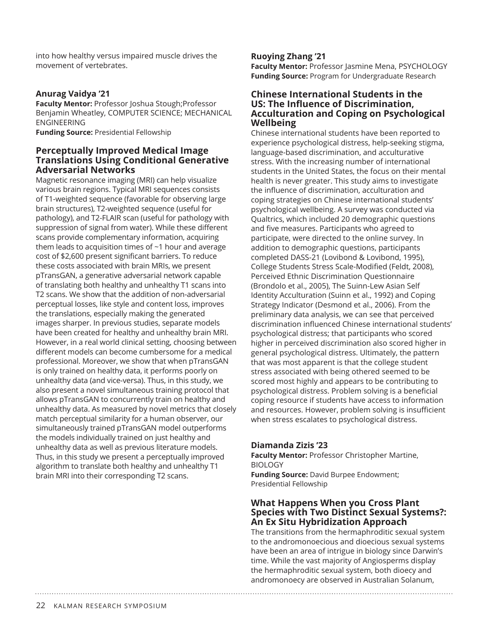into how healthy versus impaired muscle drives the movement of vertebrates.

# **Anurag Vaidya '21**

**Faculty Mentor:** Professor Joshua Stough;Professor Benjamin Wheatley, COMPUTER SCIENCE; MECHANICAL ENGINEERING

**Funding Source:** Presidential Fellowship

#### **Perceptually Improved Medical Image Translations Using Conditional Generative Adversarial Networks**

Magnetic resonance imaging (MRI) can help visualize various brain regions. Typical MRI sequences consists of T1-weighted sequence (favorable for observing large brain structures), T2-weighted sequence (useful for pathology), and T2-FLAIR scan (useful for pathology with suppression of signal from water). While these different scans provide complementary information, acquiring them leads to acquisition times of ~1 hour and average cost of \$2,600 present significant barriers. To reduce these costs associated with brain MRIs, we present pTransGAN, a generative adversarial network capable of translating both healthy and unhealthy T1 scans into T2 scans. We show that the addition of non-adversarial perceptual losses, like style and content loss, improves the translations, especially making the generated images sharper. In previous studies, separate models have been created for healthy and unhealthy brain MRI. However, in a real world clinical setting, choosing between different models can become cumbersome for a medical professional. Moreover, we show that when pTransGAN is only trained on healthy data, it performs poorly on unhealthy data (and vice-versa). Thus, in this study, we also present a novel simultaneous training protocol that allows pTransGAN to concurrently train on healthy and unhealthy data. As measured by novel metrics that closely match perceptual similarity for a human observer, our simultaneously trained pTransGAN model outperforms the models individually trained on just healthy and unhealthy data as well as previous literature models. Thus, in this study we present a perceptually improved algorithm to translate both healthy and unhealthy T1 brain MRI into their corresponding T2 scans.

#### **Ruoying Zhang '21**

**Faculty Mentor:** Professor Jasmine Mena, PSYCHOLOGY **Funding Source:** Program for Undergraduate Research

#### **Chinese International Students in the US: The Influence of Discrimination, Acculturation and Coping on Psychological Wellbeing**

Chinese international students have been reported to experience psychological distress, help-seeking stigma, language-based discrimination, and acculturative stress. With the increasing number of international students in the United States, the focus on their mental health is never greater. This study aims to investigate the influence of discrimination, acculturation and coping strategies on Chinese international students' psychological wellbeing. A survey was conducted via Qualtrics, which included 20 demographic questions and five measures. Participants who agreed to participate, were directed to the online survey. In addition to demographic questions, participants completed DASS-21 (Lovibond & Lovibond, 1995), College Students Stress Scale-Modified (Feldt, 2008), Perceived Ethnic Discrimination Questionnaire (Brondolo et al., 2005), The Suinn-Lew Asian Self Identity Acculturation (Suinn et al., 1992) and Coping Strategy Indicator (Desmond et al., 2006). From the preliminary data analysis, we can see that perceived discrimination influenced Chinese international students' psychological distress; that participants who scored higher in perceived discrimination also scored higher in general psychological distress. Ultimately, the pattern that was most apparent is that the college student stress associated with being othered seemed to be scored most highly and appears to be contributing to psychological distress. Problem solving is a beneficial coping resource if students have access to information and resources. However, problem solving is insufficient when stress escalates to psychological distress.

#### **Diamanda Zizis '23**

**Faculty Mentor:** Professor Christopher Martine, BIOLOGY **Funding Source:** David Burpee Endowment; Presidential Fellowship

## **What Happens When you Cross Plant Species with Two Distinct Sexual Systems?: An Ex Situ Hybridization Approach**

The transitions from the hermaphroditic sexual system to the andromonoecious and dioecious sexual systems have been an area of intrigue in biology since Darwin's time. While the vast majority of Angiosperms display the hermaphroditic sexual system, both dioecy and andromonoecy are observed in Australian Solanum,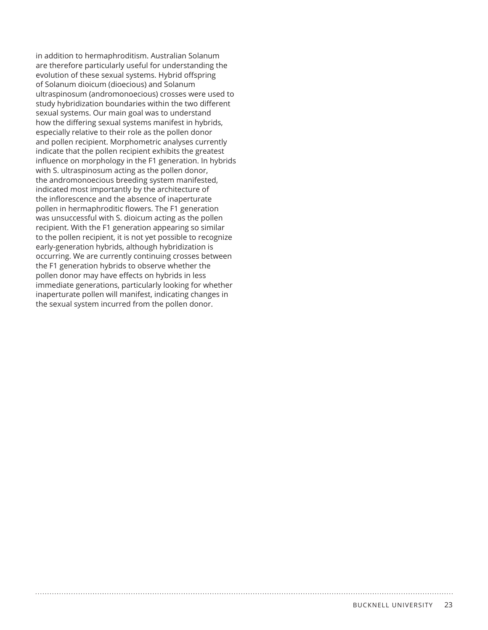in addition to hermaphroditism. Australian Solanum are therefore particularly useful for understanding the evolution of these sexual systems. Hybrid offspring of Solanum dioicum (dioecious) and Solanum ultraspinosum (andromonoecious) crosses were used to study hybridization boundaries within the two different sexual systems. Our main goal was to understand how the differing sexual systems manifest in hybrids, especially relative to their role as the pollen donor and pollen recipient. Morphometric analyses currently indicate that the pollen recipient exhibits the greatest influence on morphology in the F1 generation. In hybrids with S. ultraspinosum acting as the pollen donor, the andromonoecious breeding system manifested, indicated most importantly by the architecture of the inflorescence and the absence of inaperturate pollen in hermaphroditic flowers. The F1 generation was unsuccessful with S. dioicum acting as the pollen recipient. With the F1 generation appearing so similar to the pollen recipient, it is not yet possible to recognize early-generation hybrids, although hybridization is occurring. We are currently continuing crosses between the F1 generation hybrids to observe whether the pollen donor may have effects on hybrids in less immediate generations, particularly looking for whether inaperturate pollen will manifest, indicating changes in the sexual system incurred from the pollen donor.